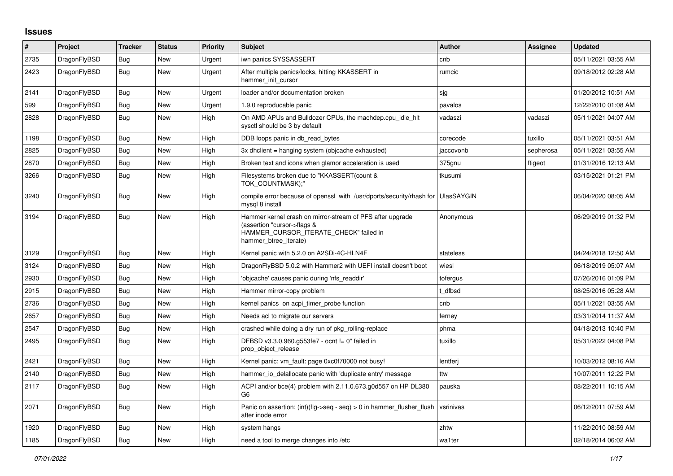## **Issues**

| #    | Project      | <b>Tracker</b> | <b>Status</b> | <b>Priority</b> | <b>Subject</b>                                                                                                                                              | <b>Author</b> | Assignee  | <b>Updated</b>      |
|------|--------------|----------------|---------------|-----------------|-------------------------------------------------------------------------------------------------------------------------------------------------------------|---------------|-----------|---------------------|
| 2735 | DragonFlyBSD | Bug            | New           | Urgent          | iwn panics SYSSASSERT                                                                                                                                       | cnb           |           | 05/11/2021 03:55 AM |
| 2423 | DragonFlyBSD | Bug            | <b>New</b>    | Urgent          | After multiple panics/locks, hitting KKASSERT in<br>hammer init cursor                                                                                      | rumcic        |           | 09/18/2012 02:28 AM |
| 2141 | DragonFlyBSD | Bug            | <b>New</b>    | Urgent          | loader and/or documentation broken                                                                                                                          | sjg           |           | 01/20/2012 10:51 AM |
| 599  | DragonFlyBSD | <b>Bug</b>     | New           | Urgent          | 1.9.0 reproducable panic                                                                                                                                    | pavalos       |           | 12/22/2010 01:08 AM |
| 2828 | DragonFlyBSD | Bug            | New           | High            | On AMD APUs and Bulldozer CPUs, the machdep.cpu_idle_hlt<br>sysctl should be 3 by default                                                                   | vadaszi       | vadaszi   | 05/11/2021 04:07 AM |
| 1198 | DragonFlyBSD | <b>Bug</b>     | <b>New</b>    | High            | DDB loops panic in db read bytes                                                                                                                            | corecode      | tuxillo   | 05/11/2021 03:51 AM |
| 2825 | DragonFlyBSD | Bug            | <b>New</b>    | High            | 3x dhclient = hanging system (objcache exhausted)                                                                                                           | jaccovonb     | sepherosa | 05/11/2021 03:55 AM |
| 2870 | DragonFlyBSD | Bug            | New           | High            | Broken text and icons when glamor acceleration is used                                                                                                      | 375gnu        | ftigeot   | 01/31/2016 12:13 AM |
| 3266 | DragonFlyBSD | <b>Bug</b>     | New           | High            | Filesystems broken due to "KKASSERT(count &<br>TOK COUNTMASK);"                                                                                             | tkusumi       |           | 03/15/2021 01:21 PM |
| 3240 | DragonFlyBSD | <b>Bug</b>     | <b>New</b>    | High            | compile error because of openssl with /usr/dports/security/rhash for UlasSAYGIN<br>mysql 8 install                                                          |               |           | 06/04/2020 08:05 AM |
| 3194 | DragonFlyBSD | Bug            | New           | High            | Hammer kernel crash on mirror-stream of PFS after upgrade<br>(assertion "cursor->flags &<br>HAMMER CURSOR ITERATE CHECK" failed in<br>hammer btree iterate) | Anonymous     |           | 06/29/2019 01:32 PM |
| 3129 | DragonFlyBSD | Bug            | <b>New</b>    | High            | Kernel panic with 5.2.0 on A2SDi-4C-HLN4F                                                                                                                   | stateless     |           | 04/24/2018 12:50 AM |
| 3124 | DragonFlyBSD | Bug            | <b>New</b>    | High            | DragonFlyBSD 5.0.2 with Hammer2 with UEFI install doesn't boot                                                                                              | wiesl         |           | 06/18/2019 05:07 AM |
| 2930 | DragonFlyBSD | Bug            | New           | High            | 'objcache' causes panic during 'nfs readdir'                                                                                                                | tofergus      |           | 07/26/2016 01:09 PM |
| 2915 | DragonFlyBSD | Bug            | New           | High            | Hammer mirror-copy problem                                                                                                                                  | t dfbsd       |           | 08/25/2016 05:28 AM |
| 2736 | DragonFlyBSD | Bug            | <b>New</b>    | High            | kernel panics on acpi timer probe function                                                                                                                  | cnb           |           | 05/11/2021 03:55 AM |
| 2657 | DragonFlyBSD | Bug            | New           | High            | Needs acl to migrate our servers                                                                                                                            | ferney        |           | 03/31/2014 11:37 AM |
| 2547 | DragonFlyBSD | Bug            | New           | High            | crashed while doing a dry run of pkg rolling-replace                                                                                                        | phma          |           | 04/18/2013 10:40 PM |
| 2495 | DragonFlyBSD | <b>Bug</b>     | <b>New</b>    | High            | DFBSD v3.3.0.960.g553fe7 - ocnt != 0" failed in<br>prop_object_release                                                                                      | tuxillo       |           | 05/31/2022 04:08 PM |
| 2421 | DragonFlyBSD | <b>Bug</b>     | New           | High            | Kernel panic: vm fault: page 0xc0f70000 not busy!                                                                                                           | lentferj      |           | 10/03/2012 08:16 AM |
| 2140 | DragonFlyBSD | <b>Bug</b>     | New           | High            | hammer io delallocate panic with 'duplicate entry' message                                                                                                  | ttw           |           | 10/07/2011 12:22 PM |
| 2117 | DragonFlyBSD | Bug            | New           | High            | ACPI and/or bce(4) problem with 2.11.0.673.g0d557 on HP DL380<br>G <sub>6</sub>                                                                             | pauska        |           | 08/22/2011 10:15 AM |
| 2071 | DragonFlyBSD | <b>Bug</b>     | <b>New</b>    | High            | Panic on assertion: $(int)(flag->seq - seq) > 0$ in hammer flusher flush<br>after inode error                                                               | vsrinivas     |           | 06/12/2011 07:59 AM |
| 1920 | DragonFlyBSD | <b>Bug</b>     | New           | High            | system hangs                                                                                                                                                | zhtw          |           | 11/22/2010 08:59 AM |
| 1185 | DragonFlyBSD | <b>Bug</b>     | New           | High            | need a tool to merge changes into /etc                                                                                                                      | wa1ter        |           | 02/18/2014 06:02 AM |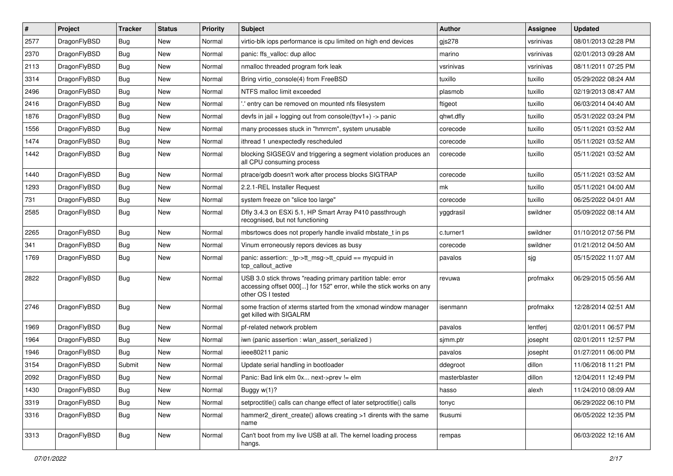| $\sharp$ | Project      | <b>Tracker</b> | <b>Status</b> | <b>Priority</b> | Subject                                                                                                                                                  | <b>Author</b> | Assignee  | <b>Updated</b>      |
|----------|--------------|----------------|---------------|-----------------|----------------------------------------------------------------------------------------------------------------------------------------------------------|---------------|-----------|---------------------|
| 2577     | DragonFlyBSD | Bug            | New           | Normal          | virtio-blk iops performance is cpu limited on high end devices                                                                                           | $g$ js $278$  | vsrinivas | 08/01/2013 02:28 PM |
| 2370     | DragonFlyBSD | Bug            | <b>New</b>    | Normal          | panic: ffs_valloc: dup alloc                                                                                                                             | marino        | vsrinivas | 02/01/2013 09:28 AM |
| 2113     | DragonFlyBSD | Bug            | <b>New</b>    | Normal          | nmalloc threaded program fork leak                                                                                                                       | vsrinivas     | vsrinivas | 08/11/2011 07:25 PM |
| 3314     | DragonFlyBSD | Bug            | New           | Normal          | Bring virtio console(4) from FreeBSD                                                                                                                     | tuxillo       | tuxillo   | 05/29/2022 08:24 AM |
| 2496     | DragonFlyBSD | Bug            | <b>New</b>    | Normal          | NTFS malloc limit exceeded                                                                                                                               | plasmob       | tuxillo   | 02/19/2013 08:47 AM |
| 2416     | DragonFlyBSD | Bug            | New           | Normal          | ".' entry can be removed on mounted nfs filesystem                                                                                                       | ftigeot       | tuxillo   | 06/03/2014 04:40 AM |
| 1876     | DragonFlyBSD | Bug            | New           | Normal          | devfs in jail + logging out from console(ttyv1+) -> panic                                                                                                | qhwt.dfly     | tuxillo   | 05/31/2022 03:24 PM |
| 1556     | DragonFlyBSD | Bug            | <b>New</b>    | Normal          | many processes stuck in "hmrrcm", system unusable                                                                                                        | corecode      | tuxillo   | 05/11/2021 03:52 AM |
| 1474     | DragonFlyBSD | <b>Bug</b>     | New           | Normal          | ithread 1 unexpectedly rescheduled                                                                                                                       | corecode      | tuxillo   | 05/11/2021 03:52 AM |
| 1442     | DragonFlyBSD | Bug            | New           | Normal          | blocking SIGSEGV and triggering a segment violation produces an<br>all CPU consuming process                                                             | corecode      | tuxillo   | 05/11/2021 03:52 AM |
| 1440     | DragonFlyBSD | Bug            | New           | Normal          | ptrace/gdb doesn't work after process blocks SIGTRAP                                                                                                     | corecode      | tuxillo   | 05/11/2021 03:52 AM |
| 1293     | DragonFlyBSD | <b>Bug</b>     | <b>New</b>    | Normal          | 2.2.1-REL Installer Request                                                                                                                              | mk            | tuxillo   | 05/11/2021 04:00 AM |
| 731      | DragonFlyBSD | <b>Bug</b>     | New           | Normal          | system freeze on "slice too large"                                                                                                                       | corecode      | tuxillo   | 06/25/2022 04:01 AM |
| 2585     | DragonFlyBSD | <b>Bug</b>     | New           | Normal          | Dfly 3.4.3 on ESXi 5.1, HP Smart Array P410 passthrough<br>recognised, but not functioning                                                               | yggdrasil     | swildner  | 05/09/2022 08:14 AM |
| 2265     | DragonFlyBSD | Bug            | New           | Normal          | mbsrtowcs does not properly handle invalid mbstate_t in ps                                                                                               | c.turner1     | swildner  | 01/10/2012 07:56 PM |
| 341      | DragonFlyBSD | Bug            | <b>New</b>    | Normal          | Vinum erroneously repors devices as busy                                                                                                                 | corecode      | swildner  | 01/21/2012 04:50 AM |
| 1769     | DragonFlyBSD | <b>Bug</b>     | New           | Normal          | panic: assertion: _tp->tt_msg->tt_cpuid == mycpuid in<br>tcp_callout_active                                                                              | pavalos       | sjg       | 05/15/2022 11:07 AM |
| 2822     | DragonFlyBSD | <b>Bug</b>     | New           | Normal          | USB 3.0 stick throws "reading primary partition table: error<br>accessing offset 000[] for 152" error, while the stick works on any<br>other OS I tested | revuwa        | profmakx  | 06/29/2015 05:56 AM |
| 2746     | DragonFlyBSD | <b>Bug</b>     | New           | Normal          | some fraction of xterms started from the xmonad window manager<br>get killed with SIGALRM                                                                | isenmann      | profmakx  | 12/28/2014 02:51 AM |
| 1969     | DragonFlyBSD | <b>Bug</b>     | <b>New</b>    | Normal          | pf-related network problem                                                                                                                               | pavalos       | lentferj  | 02/01/2011 06:57 PM |
| 1964     | DragonFlyBSD | <b>Bug</b>     | <b>New</b>    | Normal          | iwn (panic assertion : wlan assert serialized)                                                                                                           | sjmm.ptr      | josepht   | 02/01/2011 12:57 PM |
| 1946     | DragonFlyBSD | <b>Bug</b>     | New           | Normal          | ieee80211 panic                                                                                                                                          | pavalos       | josepht   | 01/27/2011 06:00 PM |
| 3154     | DragonFlyBSD | Submit         | New           | Normal          | Update serial handling in bootloader                                                                                                                     | ddegroot      | dillon    | 11/06/2018 11:21 PM |
| 2092     | DragonFlyBSD | Bug            | <b>New</b>    | Normal          | Panic: Bad link elm 0x next->prev != elm                                                                                                                 | masterblaster | dillon    | 12/04/2011 12:49 PM |
| 1430     | DragonFlyBSD | Bug            | <b>New</b>    | Normal          | Buggy w(1)?                                                                                                                                              | hasso         | alexh     | 11/24/2010 08:09 AM |
| 3319     | DragonFlyBSD | <b>Bug</b>     | New           | Normal          | setproctitle() calls can change effect of later setproctitle() calls                                                                                     | tonyc         |           | 06/29/2022 06:10 PM |
| 3316     | DragonFlyBSD | <b>Bug</b>     | New           | Normal          | hammer2_dirent_create() allows creating >1 dirents with the same<br>name                                                                                 | tkusumi       |           | 06/05/2022 12:35 PM |
| 3313     | DragonFlyBSD | <b>Bug</b>     | New           | Normal          | Can't boot from my live USB at all. The kernel loading process<br>hangs.                                                                                 | rempas        |           | 06/03/2022 12:16 AM |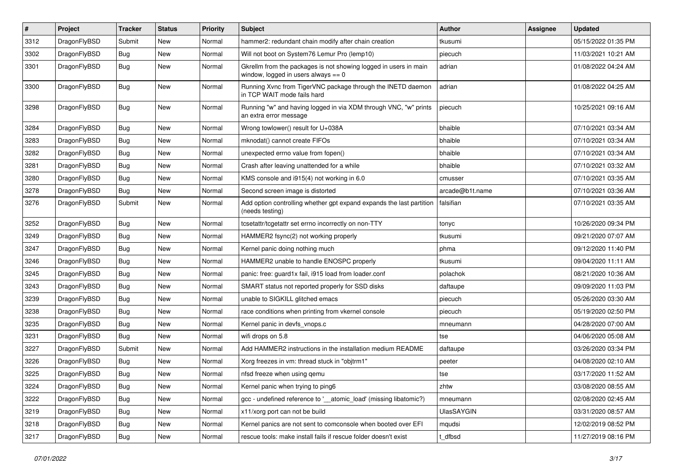| $\sharp$ | Project      | <b>Tracker</b> | <b>Status</b> | <b>Priority</b> | Subject                                                                                                   | <b>Author</b>   | <b>Assignee</b> | <b>Updated</b>      |
|----------|--------------|----------------|---------------|-----------------|-----------------------------------------------------------------------------------------------------------|-----------------|-----------------|---------------------|
| 3312     | DragonFlyBSD | Submit         | <b>New</b>    | Normal          | hammer2: redundant chain modify after chain creation                                                      | tkusumi         |                 | 05/15/2022 01:35 PM |
| 3302     | DragonFlyBSD | <b>Bug</b>     | New           | Normal          | Will not boot on System76 Lemur Pro (lemp10)                                                              | piecuch         |                 | 11/03/2021 10:21 AM |
| 3301     | DragonFlyBSD | Bug            | New           | Normal          | Gkrellm from the packages is not showing logged in users in main<br>window, logged in users always $== 0$ | adrian          |                 | 01/08/2022 04:24 AM |
| 3300     | DragonFlyBSD | <b>Bug</b>     | New           | Normal          | Running Xvnc from TigerVNC package through the INETD daemon<br>in TCP WAIT mode fails hard                | adrian          |                 | 01/08/2022 04:25 AM |
| 3298     | DragonFlyBSD | Bug            | New           | Normal          | Running "w" and having logged in via XDM through VNC, "w" prints<br>an extra error message                | piecuch         |                 | 10/25/2021 09:16 AM |
| 3284     | DragonFlyBSD | Bug            | <b>New</b>    | Normal          | Wrong towlower() result for U+038A                                                                        | bhaible         |                 | 07/10/2021 03:34 AM |
| 3283     | DragonFlyBSD | Bug            | New           | Normal          | mknodat() cannot create FIFOs                                                                             | bhaible         |                 | 07/10/2021 03:34 AM |
| 3282     | DragonFlyBSD | <b>Bug</b>     | New           | Normal          | unexpected errno value from fopen()                                                                       | bhaible         |                 | 07/10/2021 03:34 AM |
| 3281     | DragonFlyBSD | Bug            | <b>New</b>    | Normal          | Crash after leaving unattended for a while                                                                | bhaible         |                 | 07/10/2021 03:32 AM |
| 3280     | DragonFlyBSD | Bug            | <b>New</b>    | Normal          | KMS console and i915(4) not working in 6.0                                                                | cmusser         |                 | 07/10/2021 03:35 AM |
| 3278     | DragonFlyBSD | Bug            | <b>New</b>    | Normal          | Second screen image is distorted                                                                          | arcade@b1t.name |                 | 07/10/2021 03:36 AM |
| 3276     | DragonFlyBSD | Submit         | New           | Normal          | Add option controlling whether gpt expand expands the last partition<br>(needs testing)                   | falsifian       |                 | 07/10/2021 03:35 AM |
| 3252     | DragonFlyBSD | Bug            | New           | Normal          | tcsetattr/tcgetattr set errno incorrectly on non-TTY                                                      | tonyc           |                 | 10/26/2020 09:34 PM |
| 3249     | DragonFlyBSD | Bug            | <b>New</b>    | Normal          | HAMMER2 fsync(2) not working properly                                                                     | tkusumi         |                 | 09/21/2020 07:07 AM |
| 3247     | DragonFlyBSD | Bug            | New           | Normal          | Kernel panic doing nothing much                                                                           | phma            |                 | 09/12/2020 11:40 PM |
| 3246     | DragonFlyBSD | Bug            | New           | Normal          | HAMMER2 unable to handle ENOSPC properly                                                                  | tkusumi         |                 | 09/04/2020 11:11 AM |
| 3245     | DragonFlyBSD | <b>Bug</b>     | New           | Normal          | panic: free: guard1x fail, i915 load from loader.conf                                                     | polachok        |                 | 08/21/2020 10:36 AM |
| 3243     | DragonFlyBSD | Bug            | <b>New</b>    | Normal          | SMART status not reported properly for SSD disks                                                          | daftaupe        |                 | 09/09/2020 11:03 PM |
| 3239     | DragonFlyBSD | Bug            | New           | Normal          | unable to SIGKILL glitched emacs                                                                          | piecuch         |                 | 05/26/2020 03:30 AM |
| 3238     | DragonFlyBSD | <b>Bug</b>     | <b>New</b>    | Normal          | race conditions when printing from vkernel console                                                        | piecuch         |                 | 05/19/2020 02:50 PM |
| 3235     | DragonFlyBSD | Bug            | New           | Normal          | Kernel panic in devfs_vnops.c                                                                             | mneumann        |                 | 04/28/2020 07:00 AM |
| 3231     | DragonFlyBSD | Bug            | New           | Normal          | wifi drops on 5.8                                                                                         | tse             |                 | 04/06/2020 05:08 AM |
| 3227     | DragonFlyBSD | Submit         | <b>New</b>    | Normal          | Add HAMMER2 instructions in the installation medium README                                                | daftaupe        |                 | 03/26/2020 03:34 PM |
| 3226     | DragonFlyBSD | Bug            | New           | Normal          | Xorg freezes in vm: thread stuck in "objtrm1"                                                             | peeter          |                 | 04/08/2020 02:10 AM |
| 3225     | DragonFlyBSD | Bug            | New           | Normal          | nfsd freeze when using qemu                                                                               | tse             |                 | 03/17/2020 11:52 AM |
| 3224     | DragonFlyBSD | <b>Bug</b>     | New           | Normal          | Kernel panic when trying to ping6                                                                         | zhtw            |                 | 03/08/2020 08:55 AM |
| 3222     | DragonFlyBSD | Bug            | <b>New</b>    | Normal          | gcc - undefined reference to '__atomic_load' (missing libatomic?)                                         | mneumann        |                 | 02/08/2020 02:45 AM |
| 3219     | DragonFlyBSD | <b>Bug</b>     | New           | Normal          | x11/xorg port can not be build                                                                            | UlasSAYGIN      |                 | 03/31/2020 08:57 AM |
| 3218     | DragonFlyBSD | <b>Bug</b>     | New           | Normal          | Kernel panics are not sent to comconsole when booted over EFI                                             | mqudsi          |                 | 12/02/2019 08:52 PM |
| 3217     | DragonFlyBSD | <b>Bug</b>     | New           | Normal          | rescue tools: make install fails if rescue folder doesn't exist                                           | t_dfbsd         |                 | 11/27/2019 08:16 PM |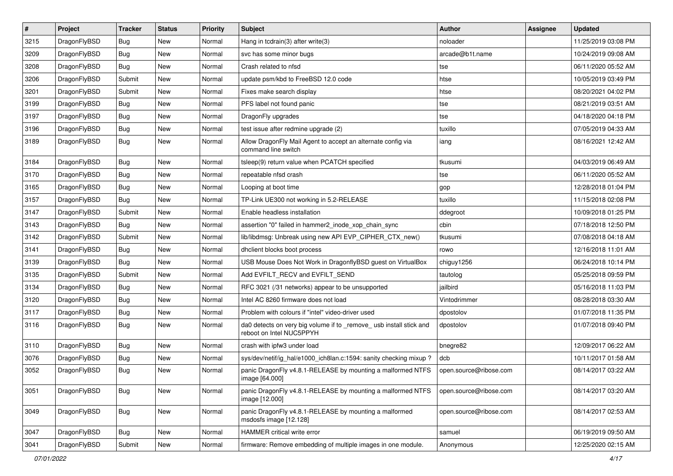| $\sharp$ | Project      | <b>Tracker</b> | <b>Status</b> | <b>Priority</b> | Subject                                                                                         | <b>Author</b>          | Assignee | <b>Updated</b>      |
|----------|--------------|----------------|---------------|-----------------|-------------------------------------------------------------------------------------------------|------------------------|----------|---------------------|
| 3215     | DragonFlyBSD | <b>Bug</b>     | New           | Normal          | Hang in tcdrain(3) after write(3)                                                               | noloader               |          | 11/25/2019 03:08 PM |
| 3209     | DragonFlyBSD | Bug            | New           | Normal          | svc has some minor bugs                                                                         | arcade@b1t.name        |          | 10/24/2019 09:08 AM |
| 3208     | DragonFlyBSD | <b>Bug</b>     | <b>New</b>    | Normal          | Crash related to nfsd                                                                           | tse                    |          | 06/11/2020 05:52 AM |
| 3206     | DragonFlyBSD | Submit         | <b>New</b>    | Normal          | update psm/kbd to FreeBSD 12.0 code                                                             | htse                   |          | 10/05/2019 03:49 PM |
| 3201     | DragonFlyBSD | Submit         | <b>New</b>    | Normal          | Fixes make search display                                                                       | htse                   |          | 08/20/2021 04:02 PM |
| 3199     | DragonFlyBSD | <b>Bug</b>     | New           | Normal          | PFS label not found panic                                                                       | tse                    |          | 08/21/2019 03:51 AM |
| 3197     | DragonFlyBSD | Bug            | <b>New</b>    | Normal          | DragonFly upgrades                                                                              | tse                    |          | 04/18/2020 04:18 PM |
| 3196     | DragonFlyBSD | <b>Bug</b>     | New           | Normal          | test issue after redmine upgrade (2)                                                            | tuxillo                |          | 07/05/2019 04:33 AM |
| 3189     | DragonFlyBSD | <b>Bug</b>     | New           | Normal          | Allow DragonFly Mail Agent to accept an alternate config via<br>command line switch             | iang                   |          | 08/16/2021 12:42 AM |
| 3184     | DragonFlyBSD | Bug            | <b>New</b>    | Normal          | tsleep(9) return value when PCATCH specified                                                    | tkusumi                |          | 04/03/2019 06:49 AM |
| 3170     | DragonFlyBSD | <b>Bug</b>     | New           | Normal          | repeatable nfsd crash                                                                           | tse                    |          | 06/11/2020 05:52 AM |
| 3165     | DragonFlyBSD | <b>Bug</b>     | New           | Normal          | Looping at boot time                                                                            | gop                    |          | 12/28/2018 01:04 PM |
| 3157     | DragonFlyBSD | Bug            | New           | Normal          | TP-Link UE300 not working in 5.2-RELEASE                                                        | tuxillo                |          | 11/15/2018 02:08 PM |
| 3147     | DragonFlyBSD | Submit         | New           | Normal          | Enable headless installation                                                                    | ddegroot               |          | 10/09/2018 01:25 PM |
| 3143     | DragonFlyBSD | Bug            | <b>New</b>    | Normal          | assertion "0" failed in hammer2 inode xop chain sync                                            | cbin                   |          | 07/18/2018 12:50 PM |
| 3142     | DragonFlyBSD | Submit         | <b>New</b>    | Normal          | lib/libdmsg: Unbreak using new API EVP_CIPHER_CTX_new()                                         | tkusumi                |          | 07/08/2018 04:18 AM |
| 3141     | DragonFlyBSD | Bug            | <b>New</b>    | Normal          | dhclient blocks boot process                                                                    | rowo                   |          | 12/16/2018 11:01 AM |
| 3139     | DragonFlyBSD | Bug            | <b>New</b>    | Normal          | USB Mouse Does Not Work in DragonflyBSD guest on VirtualBox                                     | chiguy1256             |          | 06/24/2018 10:14 PM |
| 3135     | DragonFlyBSD | Submit         | <b>New</b>    | Normal          | Add EVFILT_RECV and EVFILT_SEND                                                                 | tautolog               |          | 05/25/2018 09:59 PM |
| 3134     | DragonFlyBSD | Bug            | New           | Normal          | RFC 3021 (/31 networks) appear to be unsupported                                                | jailbird               |          | 05/16/2018 11:03 PM |
| 3120     | DragonFlyBSD | <b>Bug</b>     | <b>New</b>    | Normal          | Intel AC 8260 firmware does not load                                                            | Vintodrimmer           |          | 08/28/2018 03:30 AM |
| 3117     | DragonFlyBSD | Bug            | <b>New</b>    | Normal          | Problem with colours if "intel" video-driver used                                               | dpostolov              |          | 01/07/2018 11:35 PM |
| 3116     | DragonFlyBSD | <b>Bug</b>     | New           | Normal          | da0 detects on very big volume if to _remove_ usb install stick and<br>reboot on Intel NUC5PPYH | dpostolov              |          | 01/07/2018 09:40 PM |
| 3110     | DragonFlyBSD | Bug            | <b>New</b>    | Normal          | crash with ipfw3 under load                                                                     | bnegre82               |          | 12/09/2017 06:22 AM |
| 3076     | DragonFlyBSD | <b>Bug</b>     | <b>New</b>    | Normal          | sys/dev/netif/ig_hal/e1000_ich8lan.c:1594: sanity checking mixup?                               | dcb                    |          | 10/11/2017 01:58 AM |
| 3052     | DragonFlyBSD | <b>Bug</b>     | New           | Normal          | panic DragonFly v4.8.1-RELEASE by mounting a malformed NTFS<br>image [64.000]                   | open.source@ribose.com |          | 08/14/2017 03:22 AM |
| 3051     | DragonFlyBSD | Bug            | New           | Normal          | panic DragonFly v4.8.1-RELEASE by mounting a malformed NTFS<br>image [12.000]                   | open.source@ribose.com |          | 08/14/2017 03:20 AM |
| 3049     | DragonFlyBSD | <b>Bug</b>     | <b>New</b>    | Normal          | panic DragonFly v4.8.1-RELEASE by mounting a malformed<br>msdosfs image [12.128]                | open.source@ribose.com |          | 08/14/2017 02:53 AM |
| 3047     | DragonFlyBSD | Bug            | <b>New</b>    | Normal          | HAMMER critical write error                                                                     | samuel                 |          | 06/19/2019 09:50 AM |
| 3041     | DragonFlyBSD | Submit         | New           | Normal          | firmware: Remove embedding of multiple images in one module.                                    | Anonymous              |          | 12/25/2020 02:15 AM |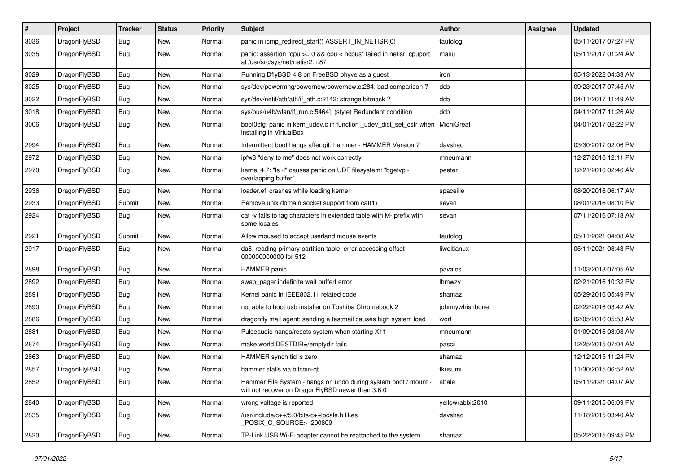| $\sharp$ | Project      | <b>Tracker</b> | <b>Status</b> | <b>Priority</b> | Subject                                                                                                              | <b>Author</b>    | Assignee | <b>Updated</b>      |
|----------|--------------|----------------|---------------|-----------------|----------------------------------------------------------------------------------------------------------------------|------------------|----------|---------------------|
| 3036     | DragonFlyBSD | <b>Bug</b>     | New           | Normal          | panic in icmp_redirect_start() ASSERT_IN_NETISR(0)                                                                   | tautolog         |          | 05/11/2017 07:27 PM |
| 3035     | DragonFlyBSD | <b>Bug</b>     | New           | Normal          | panic: assertion "cpu >= 0 && cpu < ncpus" failed in netisr_cpuport<br>at /usr/src/sys/net/netisr2.h:87              | masu             |          | 05/11/2017 01:24 AM |
| 3029     | DragonFlyBSD | <b>Bug</b>     | New           | Normal          | Running DflyBSD 4.8 on FreeBSD bhyve as a guest                                                                      | iron             |          | 05/13/2022 04:33 AM |
| 3025     | DragonFlyBSD | Bug            | <b>New</b>    | Normal          | sys/dev/powermng/powernow/powernow.c:284: bad comparison ?                                                           | dcb              |          | 09/23/2017 07:45 AM |
| 3022     | DragonFlyBSD | <b>Bug</b>     | New           | Normal          | sys/dev/netif/ath/ath/if ath.c:2142: strange bitmask?                                                                | dcb              |          | 04/11/2017 11:49 AM |
| 3018     | DragonFlyBSD | <b>Bug</b>     | New           | Normal          | sys/bus/u4b/wlan/if_run.c:5464]: (style) Redundant condition                                                         | dcb              |          | 04/11/2017 11:26 AM |
| 3006     | DragonFlyBSD | <b>Bug</b>     | New           | Normal          | boot0cfg: panic in kern_udev.c in function _udev_dict_set_cstr when<br>installing in VirtualBox                      | MichiGreat       |          | 04/01/2017 02:22 PM |
| 2994     | DragonFlyBSD | <b>Bug</b>     | New           | Normal          | Intermittent boot hangs after git: hammer - HAMMER Version 7                                                         | davshao          |          | 03/30/2017 02:06 PM |
| 2972     | DragonFlyBSD | <b>Bug</b>     | New           | Normal          | ipfw3 "deny to me" does not work correctly                                                                           | mneumann         |          | 12/27/2016 12:11 PM |
| 2970     | DragonFlyBSD | <b>Bug</b>     | <b>New</b>    | Normal          | kernel 4.7: "Is -I" causes panic on UDF filesystem: "bgetvp -<br>overlapping buffer"                                 | peeter           |          | 12/21/2016 02:46 AM |
| 2936     | DragonFlyBSD | <b>Bug</b>     | New           | Normal          | loader.efi crashes while loading kernel                                                                              | spaceille        |          | 08/20/2016 06:17 AM |
| 2933     | DragonFlyBSD | Submit         | New           | Normal          | Remove unix domain socket support from cat(1)                                                                        | sevan            |          | 08/01/2016 08:10 PM |
| 2924     | DragonFlyBSD | Bug            | New           | Normal          | cat -v fails to tag characters in extended table with M- prefix with<br>some locales                                 | sevan            |          | 07/11/2016 07:18 AM |
| 2921     | DragonFlyBSD | Submit         | New           | Normal          | Allow moused to accept userland mouse events                                                                         | tautolog         |          | 05/11/2021 04:08 AM |
| 2917     | DragonFlyBSD | Bug            | <b>New</b>    | Normal          | da8: reading primary partition table: error accessing offset<br>000000000000 for 512                                 | liweitianux      |          | 05/11/2021 08:43 PM |
| 2898     | DragonFlyBSD | Bug            | <b>New</b>    | Normal          | <b>HAMMER</b> panic                                                                                                  | pavalos          |          | 11/03/2018 07:05 AM |
| 2892     | DragonFlyBSD | <b>Bug</b>     | New           | Normal          | swap pager:indefinite wait bufferf error                                                                             | <b>Ihmwzy</b>    |          | 02/21/2016 10:32 PM |
| 2891     | DragonFlyBSD | <b>Bug</b>     | New           | Normal          | Kernel panic in IEEE802.11 related code                                                                              | shamaz           |          | 05/29/2016 05:49 PM |
| 2890     | DragonFlyBSD | <b>Bug</b>     | New           | Normal          | not able to boot usb installer on Toshiba Chromebook 2                                                               | johnnywhishbone  |          | 02/22/2016 03:42 AM |
| 2886     | DragonFlyBSD | <b>Bug</b>     | New           | Normal          | dragonfly mail agent: sending a testmail causes high system load                                                     | worf             |          | 02/05/2016 05:53 AM |
| 2881     | DragonFlyBSD | <b>Bug</b>     | New           | Normal          | Pulseaudio hangs/resets system when starting X11                                                                     | mneumann         |          | 01/09/2016 03:08 AM |
| 2874     | DragonFlyBSD | <b>Bug</b>     | New           | Normal          | make world DESTDIR=/emptydir fails                                                                                   | pascii           |          | 12/25/2015 07:04 AM |
| 2863     | DragonFlyBSD | <b>Bug</b>     | New           | Normal          | HAMMER synch tid is zero                                                                                             | shamaz           |          | 12/12/2015 11:24 PM |
| 2857     | DragonFlyBSD | <b>Bug</b>     | New           | Normal          | hammer stalls via bitcoin-qt                                                                                         | tkusumi          |          | 11/30/2015 06:52 AM |
| 2852     | DragonFlyBSD | <b>Bug</b>     | <b>New</b>    | Normal          | Hammer File System - hangs on undo during system boot / mount -<br>will not recover on DragonFlyBSD newer than 3.6.0 | abale            |          | 05/11/2021 04:07 AM |
| 2840     | DragonFlyBSD | Bug            | <b>New</b>    | Normal          | wrong voltage is reported                                                                                            | yellowrabbit2010 |          | 09/11/2015 06:09 PM |
| 2835     | DragonFlyBSD | Bug            | New           | Normal          | /usr/include/c++/5.0/bits/c++locale.h likes<br>POSIX_C_SOURCE>=200809                                                | davshao          |          | 11/18/2015 03:40 AM |
| 2820     | DragonFlyBSD | <b>Bug</b>     | New           | Normal          | TP-Link USB Wi-Fi adapter cannot be reattached to the system                                                         | shamaz           |          | 05/22/2015 09:45 PM |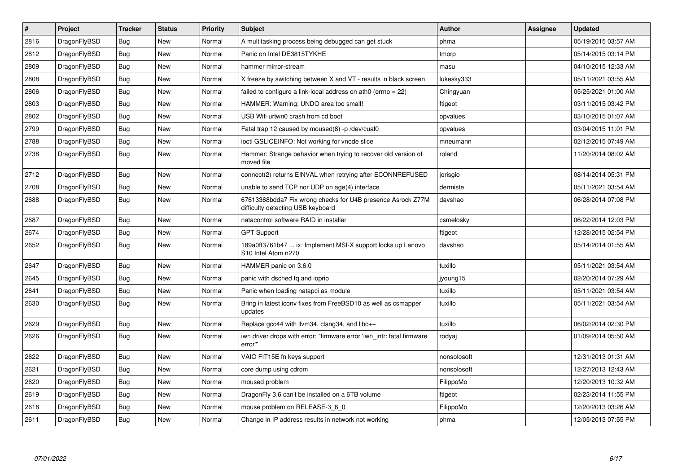| $\pmb{\#}$ | <b>Project</b> | <b>Tracker</b> | <b>Status</b> | <b>Priority</b> | <b>Subject</b>                                                                                   | <b>Author</b> | Assignee | <b>Updated</b>      |
|------------|----------------|----------------|---------------|-----------------|--------------------------------------------------------------------------------------------------|---------------|----------|---------------------|
| 2816       | DragonFlyBSD   | <b>Bug</b>     | <b>New</b>    | Normal          | A multitasking process being debugged can get stuck                                              | phma          |          | 05/19/2015 03:57 AM |
| 2812       | DragonFlyBSD   | Bug            | <b>New</b>    | Normal          | Panic on Intel DE3815TYKHE                                                                       | tmorp         |          | 05/14/2015 03:14 PM |
| 2809       | DragonFlyBSD   | Bug            | New           | Normal          | hammer mirror-stream                                                                             | masu          |          | 04/10/2015 12:33 AM |
| 2808       | DragonFlyBSD   | Bug            | <b>New</b>    | Normal          | X freeze by switching between X and VT - results in black screen                                 | lukesky333    |          | 05/11/2021 03:55 AM |
| 2806       | DragonFlyBSD   | Bug            | <b>New</b>    | Normal          | failed to configure a link-local address on ath0 (errno = 22)                                    | Chingyuan     |          | 05/25/2021 01:00 AM |
| 2803       | DragonFlyBSD   | Bug            | <b>New</b>    | Normal          | HAMMER: Warning: UNDO area too small!                                                            | ftigeot       |          | 03/11/2015 03:42 PM |
| 2802       | DragonFlyBSD   | Bug            | <b>New</b>    | Normal          | USB Wifi urtwn0 crash from cd boot                                                               | opvalues      |          | 03/10/2015 01:07 AM |
| 2799       | DragonFlyBSD   | <b>Bug</b>     | <b>New</b>    | Normal          | Fatal trap 12 caused by moused(8) -p /dev/cual0                                                  | opvalues      |          | 03/04/2015 11:01 PM |
| 2788       | DragonFlyBSD   | Bug            | <b>New</b>    | Normal          | ioctl GSLICEINFO: Not working for vnode slice                                                    | mneumann      |          | 02/12/2015 07:49 AM |
| 2738       | DragonFlyBSD   | Bug            | <b>New</b>    | Normal          | Hammer: Strange behavior when trying to recover old version of<br>moved file                     | roland        |          | 11/20/2014 08:02 AM |
| 2712       | DragonFlyBSD   | Bug            | <b>New</b>    | Normal          | connect(2) returns EINVAL when retrying after ECONNREFUSED                                       | jorisgio      |          | 08/14/2014 05:31 PM |
| 2708       | DragonFlyBSD   | <b>Bug</b>     | <b>New</b>    | Normal          | unable to send TCP nor UDP on age(4) interface                                                   | dermiste      |          | 05/11/2021 03:54 AM |
| 2688       | DragonFlyBSD   | Bug            | <b>New</b>    | Normal          | 67613368bdda7 Fix wrong checks for U4B presence Asrock Z77M<br>difficulty detecting USB keyboard | davshao       |          | 06/28/2014 07:08 PM |
| 2687       | DragonFlyBSD   | Bug            | <b>New</b>    | Normal          | natacontrol software RAID in installer                                                           | csmelosky     |          | 06/22/2014 12:03 PM |
| 2674       | DragonFlyBSD   | Bug            | <b>New</b>    | Normal          | <b>GPT Support</b>                                                                               | ftigeot       |          | 12/28/2015 02:54 PM |
| 2652       | DragonFlyBSD   | Bug            | <b>New</b>    | Normal          | 189a0ff3761b47  ix: Implement MSI-X support locks up Lenovo<br>S10 Intel Atom n270               | davshao       |          | 05/14/2014 01:55 AM |
| 2647       | DragonFlyBSD   | <b>Bug</b>     | <b>New</b>    | Normal          | HAMMER panic on 3.6.0                                                                            | tuxillo       |          | 05/11/2021 03:54 AM |
| 2645       | DragonFlyBSD   | Bug            | <b>New</b>    | Normal          | panic with dsched fq and ioprio                                                                  | jyoung15      |          | 02/20/2014 07:29 AM |
| 2641       | DragonFlyBSD   | Bug            | New           | Normal          | Panic when loading natapci as module                                                             | tuxillo       |          | 05/11/2021 03:54 AM |
| 2630       | DragonFlyBSD   | <b>Bug</b>     | New           | Normal          | Bring in latest iconv fixes from FreeBSD10 as well as csmapper<br>updates                        | tuxillo       |          | 05/11/2021 03:54 AM |
| 2629       | DragonFlyBSD   | <b>Bug</b>     | <b>New</b>    | Normal          | Replace gcc44 with llvm34, clang34, and libc++                                                   | tuxillo       |          | 06/02/2014 02:30 PM |
| 2626       | DragonFlyBSD   | <b>Bug</b>     | <b>New</b>    | Normal          | iwn driver drops with error: "firmware error 'iwn intr: fatal firmware<br>error"                 | rodyaj        |          | 01/09/2014 05:50 AM |
| 2622       | DragonFlyBSD   | Bug            | <b>New</b>    | Normal          | VAIO FIT15E fn keys support                                                                      | nonsolosoft   |          | 12/31/2013 01:31 AM |
| 2621       | DragonFlyBSD   | Bug            | <b>New</b>    | Normal          | core dump using cdrom                                                                            | nonsolosoft   |          | 12/27/2013 12:43 AM |
| 2620       | DragonFlyBSD   | Bug            | <b>New</b>    | Normal          | moused problem                                                                                   | FilippoMo     |          | 12/20/2013 10:32 AM |
| 2619       | DragonFlyBSD   | Bug            | <b>New</b>    | Normal          | DragonFly 3.6 can't be installed on a 6TB volume                                                 | ftigeot       |          | 02/23/2014 11:55 PM |
| 2618       | DragonFlyBSD   | Bug            | New           | Normal          | mouse problem on RELEASE-3 6 0                                                                   | FilippoMo     |          | 12/20/2013 03:26 AM |
| 2611       | DragonFlyBSD   | Bug            | New           | Normal          | Change in IP address results in network not working                                              | phma          |          | 12/05/2013 07:55 PM |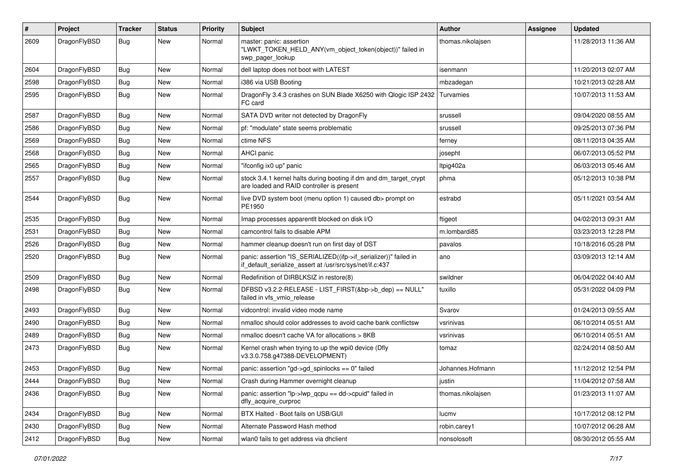| $\#$ | Project      | <b>Tracker</b> | <b>Status</b> | <b>Priority</b> | Subject                                                                                                                      | <b>Author</b>     | Assignee | <b>Updated</b>      |
|------|--------------|----------------|---------------|-----------------|------------------------------------------------------------------------------------------------------------------------------|-------------------|----------|---------------------|
| 2609 | DragonFlyBSD | Bug            | New           | Normal          | master: panic: assertion<br>"LWKT_TOKEN_HELD_ANY(vm_object_token(object))" failed in<br>swp pager lookup                     | thomas.nikolajsen |          | 11/28/2013 11:36 AM |
| 2604 | DragonFlyBSD | <b>Bug</b>     | New           | Normal          | dell laptop does not boot with LATEST                                                                                        | isenmann          |          | 11/20/2013 02:07 AM |
| 2598 | DragonFlyBSD | Bug            | <b>New</b>    | Normal          | i386 via USB Booting                                                                                                         | mbzadegan         |          | 10/21/2013 02:28 AM |
| 2595 | DragonFlyBSD | Bug            | <b>New</b>    | Normal          | DragonFly 3.4.3 crashes on SUN Blade X6250 with Qlogic ISP 2432<br>FC card                                                   | Turvamies         |          | 10/07/2013 11:53 AM |
| 2587 | DragonFlyBSD | Bug            | <b>New</b>    | Normal          | SATA DVD writer not detected by DragonFly                                                                                    | srussell          |          | 09/04/2020 08:55 AM |
| 2586 | DragonFlyBSD | <b>Bug</b>     | <b>New</b>    | Normal          | pf: "modulate" state seems problematic                                                                                       | srussell          |          | 09/25/2013 07:36 PM |
| 2569 | DragonFlyBSD | Bug            | <b>New</b>    | Normal          | ctime NFS                                                                                                                    | ferney            |          | 08/11/2013 04:35 AM |
| 2568 | DragonFlyBSD | <b>Bug</b>     | New           | Normal          | <b>AHCI</b> panic                                                                                                            | josepht           |          | 06/07/2013 05:52 PM |
| 2565 | DragonFlyBSD | <b>Bug</b>     | New           | Normal          | "ifconfig ix0 up" panic                                                                                                      | Itpig402a         |          | 06/03/2013 05:46 AM |
| 2557 | DragonFlyBSD | Bug            | New           | Normal          | stock 3.4.1 kernel halts during booting if dm and dm_target_crypt<br>are loaded and RAID controller is present               | phma              |          | 05/12/2013 10:38 PM |
| 2544 | DragonFlyBSD | Bug            | <b>New</b>    | Normal          | live DVD system boot (menu option 1) caused db> prompt on<br>PE1950                                                          | estrabd           |          | 05/11/2021 03:54 AM |
| 2535 | DragonFlyBSD | Bug            | <b>New</b>    | Normal          | Imap processes apparentlt blocked on disk I/O                                                                                | ftigeot           |          | 04/02/2013 09:31 AM |
| 2531 | DragonFlyBSD | Bug            | <b>New</b>    | Normal          | camcontrol fails to disable APM                                                                                              | m.lombardi85      |          | 03/23/2013 12:28 PM |
| 2526 | DragonFlyBSD | <b>Bug</b>     | <b>New</b>    | Normal          | hammer cleanup doesn't run on first day of DST                                                                               | pavalos           |          | 10/18/2016 05:28 PM |
| 2520 | DragonFlyBSD | <b>Bug</b>     | New           | Normal          | panic: assertion "IS_SERIALIZED((ifp->if_serializer))" failed in<br>if_default_serialize_assert at /usr/src/sys/net/if.c:437 | ano               |          | 03/09/2013 12:14 AM |
| 2509 | DragonFlyBSD | Bug            | <b>New</b>    | Normal          | Redefinition of DIRBLKSIZ in restore(8)                                                                                      | swildner          |          | 06/04/2022 04:40 AM |
| 2498 | DragonFlyBSD | Bug            | <b>New</b>    | Normal          | DFBSD v3.2.2-RELEASE - LIST_FIRST(&bp->b_dep) == NULL"<br>failed in vfs_vmio_release                                         | tuxillo           |          | 05/31/2022 04:09 PM |
| 2493 | DragonFlyBSD | Bug            | <b>New</b>    | Normal          | vidcontrol: invalid video mode name                                                                                          | Svarov            |          | 01/24/2013 09:55 AM |
| 2490 | DragonFlyBSD | Bug            | <b>New</b>    | Normal          | nmalloc should color addresses to avoid cache bank conflictsw                                                                | vsrinivas         |          | 06/10/2014 05:51 AM |
| 2489 | DragonFlyBSD | <b>Bug</b>     | New           | Normal          | nmalloc doesn't cache VA for allocations > 8KB                                                                               | vsrinivas         |          | 06/10/2014 05:51 AM |
| 2473 | DragonFlyBSD | <b>Bug</b>     | <b>New</b>    | Normal          | Kernel crash when trying to up the wpi0 device (Dfly<br>v3.3.0.758.g47388-DEVELOPMENT)                                       | tomaz             |          | 02/24/2014 08:50 AM |
| 2453 | DragonFlyBSD | Bug            | <b>New</b>    | Normal          | panic: assertion "gd->gd_spinlocks == 0" failed                                                                              | Johannes.Hofmann  |          | 11/12/2012 12:54 PM |
| 2444 | DragonFlyBSD | <b>Bug</b>     | New           | Normal          | Crash during Hammer overnight cleanup                                                                                        | justin            |          | 11/04/2012 07:58 AM |
| 2436 | DragonFlyBSD | Bug            | New           | Normal          | panic: assertion "lp->lwp_qcpu == dd->cpuid" failed in<br>dfly_acquire_curproc                                               | thomas.nikolajsen |          | 01/23/2013 11:07 AM |
| 2434 | DragonFlyBSD | Bug            | New           | Normal          | BTX Halted - Boot fails on USB/GUI                                                                                           | lucmv             |          | 10/17/2012 08:12 PM |
| 2430 | DragonFlyBSD | Bug            | New           | Normal          | Alternate Password Hash method                                                                                               | robin.carey1      |          | 10/07/2012 06:28 AM |
| 2412 | DragonFlyBSD | <b>Bug</b>     | New           | Normal          | wlan0 fails to get address via dhclient                                                                                      | nonsolosoft       |          | 08/30/2012 05:55 AM |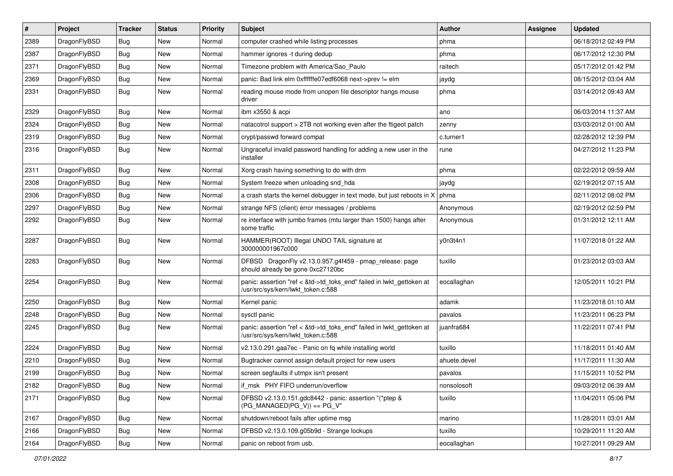| $\sharp$ | Project      | <b>Tracker</b> | <b>Status</b> | <b>Priority</b> | Subject                                                                                                    | <b>Author</b> | Assignee | <b>Updated</b>      |
|----------|--------------|----------------|---------------|-----------------|------------------------------------------------------------------------------------------------------------|---------------|----------|---------------------|
| 2389     | DragonFlyBSD | <b>Bug</b>     | New           | Normal          | computer crashed while listing processes                                                                   | phma          |          | 06/18/2012 02:49 PM |
| 2387     | DragonFlyBSD | <b>Bug</b>     | <b>New</b>    | Normal          | hammer ignores -t during dedup                                                                             | phma          |          | 06/17/2012 12:30 PM |
| 2371     | DragonFlyBSD | <b>Bug</b>     | New           | Normal          | Timezone problem with America/Sao Paulo                                                                    | raitech       |          | 05/17/2012 01:42 PM |
| 2369     | DragonFlyBSD | Bug            | New           | Normal          | panic: Bad link elm 0xffffffe07edf6068 next->prev != elm                                                   | jaydg         |          | 08/15/2012 03:04 AM |
| 2331     | DragonFlyBSD | Bug            | New           | Normal          | reading mouse mode from unopen file descriptor hangs mouse<br>driver                                       | phma          |          | 03/14/2012 09:43 AM |
| 2329     | DragonFlyBSD | Bug            | New           | Normal          | ibm x3550 & acpi                                                                                           | ano           |          | 06/03/2014 11:37 AM |
| 2324     | DragonFlyBSD | Bug            | <b>New</b>    | Normal          | natacotrol support > 2TB not working even after the ftigeot patch                                          | zenny         |          | 03/03/2012 01:00 AM |
| 2319     | DragonFlyBSD | Bug            | New           | Normal          | crypt/passwd forward compat                                                                                | c.turner1     |          | 02/28/2012 12:39 PM |
| 2316     | DragonFlyBSD | Bug            | New           | Normal          | Ungraceful invalid password handling for adding a new user in the<br>installer                             | rune          |          | 04/27/2012 11:23 PM |
| 2311     | DragonFlyBSD | Bug            | <b>New</b>    | Normal          | Xorg crash having something to do with drm                                                                 | phma          |          | 02/22/2012 09:59 AM |
| 2308     | DragonFlyBSD | Bug            | New           | Normal          | System freeze when unloading snd_hda                                                                       | jaydg         |          | 02/19/2012 07:15 AM |
| 2306     | DragonFlyBSD | Bug            | <b>New</b>    | Normal          | a crash starts the kernel debugger in text mode, but just reboots in X                                     | phma          |          | 02/11/2012 08:02 PM |
| 2297     | DragonFlyBSD | Bug            | New           | Normal          | strange NFS (client) error messages / problems                                                             | Anonymous     |          | 02/19/2012 02:59 PM |
| 2292     | DragonFlyBSD | Bug            | <b>New</b>    | Normal          | re interface with jumbo frames (mtu larger than 1500) hangs after<br>some traffic                          | Anonymous     |          | 01/31/2012 12:11 AM |
| 2287     | DragonFlyBSD | <b>Bug</b>     | New           | Normal          | HAMMER(ROOT) Illegal UNDO TAIL signature at<br>300000001967c000                                            | y0n3t4n1      |          | 11/07/2018 01:22 AM |
| 2283     | DragonFlyBSD | Bug            | <b>New</b>    | Normal          | DFBSD DragonFly v2.13.0.957.g4f459 - pmap_release: page<br>should already be gone 0xc27120bc               | tuxillo       |          | 01/23/2012 03:03 AM |
| 2254     | DragonFlyBSD | Bug            | New           | Normal          | panic: assertion "ref < &td->td_toks_end" failed in lwkt_gettoken at<br>/usr/src/sys/kern/lwkt_token.c:588 | eocallaghan   |          | 12/05/2011 10:21 PM |
| 2250     | DragonFlyBSD | Bug            | New           | Normal          | Kernel panic                                                                                               | adamk         |          | 11/23/2018 01:10 AM |
| 2248     | DragonFlyBSD | Bug            | New           | Normal          | sysctl panic                                                                                               | pavalos       |          | 11/23/2011 06:23 PM |
| 2245     | DragonFlyBSD | Bug            | New           | Normal          | panic: assertion "ref < &td->td_toks_end" failed in lwkt_gettoken at<br>/usr/src/sys/kern/lwkt token.c:588 | juanfra684    |          | 11/22/2011 07:41 PM |
| 2224     | DragonFlyBSD | Bug            | New           | Normal          | v2.13.0.291.gaa7ec - Panic on fq while installing world                                                    | tuxillo       |          | 11/18/2011 01:40 AM |
| 2210     | DragonFlyBSD | Bug            | New           | Normal          | Bugtracker cannot assign default project for new users                                                     | ahuete.devel  |          | 11/17/2011 11:30 AM |
| 2199     | DragonFlyBSD | <b>Bug</b>     | <b>New</b>    | Normal          | screen segfaults if utmpx isn't present                                                                    | pavalos       |          | 11/15/2011 10:52 PM |
| 2182     | DragonFlyBSD | <b>Bug</b>     | New           | Normal          | if_msk PHY FIFO underrun/overflow                                                                          | nonsolosoft   |          | 09/03/2012 06:39 AM |
| 2171     | DragonFlyBSD | <b>Bug</b>     | New           | Normal          | DFBSD v2.13.0.151.gdc8442 - panic: assertion "(*ptep &<br>$(PG_MANAGED PG_V)$ == PG_V"                     | tuxillo       |          | 11/04/2011 05:06 PM |
| 2167     | DragonFlyBSD | <b>Bug</b>     | <b>New</b>    | Normal          | shutdown/reboot fails after uptime msg                                                                     | marino        |          | 11/28/2011 03:01 AM |
| 2166     | DragonFlyBSD | <b>Bug</b>     | New           | Normal          | DFBSD v2.13.0.109.g05b9d - Strange lockups                                                                 | tuxillo       |          | 10/29/2011 11:20 AM |
| 2164     | DragonFlyBSD | <b>Bug</b>     | New           | Normal          | panic on reboot from usb.                                                                                  | eocallaghan   |          | 10/27/2011 09:29 AM |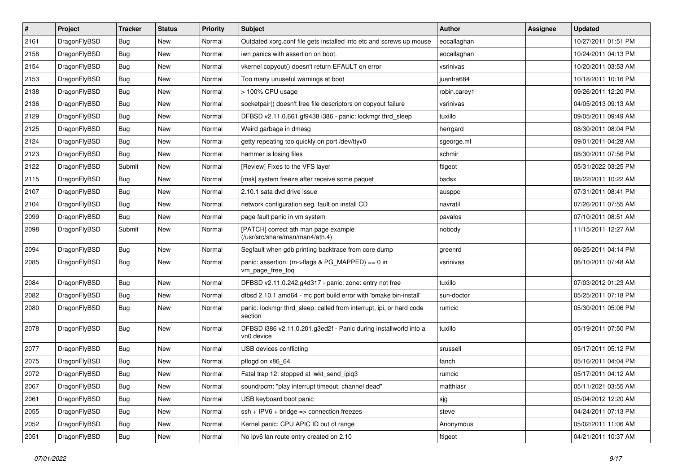| $\sharp$ | Project      | <b>Tracker</b> | <b>Status</b> | <b>Priority</b> | Subject                                                                        | <b>Author</b> | <b>Assignee</b> | <b>Updated</b>      |
|----------|--------------|----------------|---------------|-----------------|--------------------------------------------------------------------------------|---------------|-----------------|---------------------|
| 2161     | DragonFlyBSD | <b>Bug</b>     | New           | Normal          | Outdated xorg.conf file gets installed into etc and screws up mouse            | eocallaghan   |                 | 10/27/2011 01:51 PM |
| 2158     | DragonFlyBSD | <b>Bug</b>     | <b>New</b>    | Normal          | iwn panics with assertion on boot.                                             | eocallaghan   |                 | 10/24/2011 04:13 PM |
| 2154     | DragonFlyBSD | <b>Bug</b>     | <b>New</b>    | Normal          | vkernel copyout() doesn't return EFAULT on error                               | vsrinivas     |                 | 10/20/2011 03:53 AM |
| 2153     | DragonFlyBSD | <b>Bug</b>     | New           | Normal          | Too many unuseful warnings at boot                                             | juanfra684    |                 | 10/18/2011 10:16 PM |
| 2138     | DragonFlyBSD | <b>Bug</b>     | <b>New</b>    | Normal          | > 100% CPU usage                                                               | robin.carey1  |                 | 09/26/2011 12:20 PM |
| 2136     | DragonFlyBSD | <b>Bug</b>     | New           | Normal          | socketpair() doesn't free file descriptors on copyout failure                  | vsrinivas     |                 | 04/05/2013 09:13 AM |
| 2129     | DragonFlyBSD | <b>Bug</b>     | New           | Normal          | DFBSD v2.11.0.661.gf9438 i386 - panic: lockmgr thrd_sleep                      | tuxillo       |                 | 09/05/2011 09:49 AM |
| 2125     | DragonFlyBSD | <b>Bug</b>     | <b>New</b>    | Normal          | Weird garbage in dmesg                                                         | herrgard      |                 | 08/30/2011 08:04 PM |
| 2124     | DragonFlyBSD | <b>Bug</b>     | New           | Normal          | getty repeating too quickly on port /dev/ttyv0                                 | sgeorge.ml    |                 | 09/01/2011 04:28 AM |
| 2123     | DragonFlyBSD | <b>Bug</b>     | <b>New</b>    | Normal          | hammer is losing files                                                         | schmir        |                 | 08/30/2011 07:56 PM |
| 2122     | DragonFlyBSD | Submit         | New           | Normal          | [Review] Fixes to the VFS layer                                                | ftigeot       |                 | 05/31/2022 03:25 PM |
| 2115     | DragonFlyBSD | <b>Bug</b>     | New           | Normal          | [msk] system freeze after receive some paquet                                  | bsdsx         |                 | 08/22/2011 10:22 AM |
| 2107     | DragonFlyBSD | <b>Bug</b>     | New           | Normal          | 2.10.1 sata dvd drive issue                                                    | ausppc        |                 | 07/31/2011 08:41 PM |
| 2104     | DragonFlyBSD | <b>Bug</b>     | <b>New</b>    | Normal          | network configuration seg. fault on install CD                                 | navratil      |                 | 07/26/2011 07:55 AM |
| 2099     | DragonFlyBSD | <b>Bug</b>     | <b>New</b>    | Normal          | page fault panic in vm system                                                  | pavalos       |                 | 07/10/2011 08:51 AM |
| 2098     | DragonFlyBSD | Submit         | <b>New</b>    | Normal          | [PATCH] correct ath man page example<br>(/usr/src/share/man/man4/ath.4)        | nobody        |                 | 11/15/2011 12:27 AM |
| 2094     | DragonFlyBSD | <b>Bug</b>     | New           | Normal          | Segfault when gdb printing backtrace from core dump                            | greenrd       |                 | 06/25/2011 04:14 PM |
| 2085     | DragonFlyBSD | <b>Bug</b>     | New           | Normal          | panic: assertion: (m->flags & PG_MAPPED) == 0 in<br>vm_page_free_toq           | vsrinivas     |                 | 06/10/2011 07:48 AM |
| 2084     | DragonFlyBSD | <b>Bug</b>     | <b>New</b>    | Normal          | DFBSD v2.11.0.242.g4d317 - panic: zone: entry not free                         | tuxillo       |                 | 07/03/2012 01:23 AM |
| 2082     | DragonFlyBSD | <b>Bug</b>     | <b>New</b>    | Normal          | dfbsd 2.10.1 amd64 - mc port build error with 'bmake bin-install'              | sun-doctor    |                 | 05/25/2011 07:18 PM |
| 2080     | DragonFlyBSD | <b>Bug</b>     | New           | Normal          | panic: lockmgr thrd sleep: called from interrupt, ipi, or hard code<br>section | rumcic        |                 | 05/30/2011 05:06 PM |
| 2078     | DragonFlyBSD | Bug            | New           | Normal          | DFBSD i386 v2.11.0.201.g3ed2f - Panic during installworld into a<br>vn0 device | tuxillo       |                 | 05/19/2011 07:50 PM |
| 2077     | DragonFlyBSD | <b>Bug</b>     | <b>New</b>    | Normal          | USB devices conflicting                                                        | srussell      |                 | 05/17/2011 05:12 PM |
| 2075     | DragonFlyBSD | <b>Bug</b>     | <b>New</b>    | Normal          | pflogd on x86 64                                                               | fanch         |                 | 05/16/2011 04:04 PM |
| 2072     | DragonFlyBSD | <b>Bug</b>     | New           | Normal          | Fatal trap 12: stopped at lwkt_send_ipiq3                                      | rumcic        |                 | 05/17/2011 04:12 AM |
| 2067     | DragonFlyBSD | <b>Bug</b>     | New           | Normal          | sound/pcm: "play interrupt timeout, channel dead"                              | matthiasr     |                 | 05/11/2021 03:55 AM |
| 2061     | DragonFlyBSD | <b>Bug</b>     | <b>New</b>    | Normal          | USB keyboard boot panic                                                        | sjg           |                 | 05/04/2012 12:20 AM |
| 2055     | DragonFlyBSD | <b>Bug</b>     | New           | Normal          | $ssh + IPV6 + bridge \Rightarrow connection freezes$                           | steve         |                 | 04/24/2011 07:13 PM |
| 2052     | DragonFlyBSD | <b>Bug</b>     | New           | Normal          | Kernel panic: CPU APIC ID out of range                                         | Anonymous     |                 | 05/02/2011 11:06 AM |
| 2051     | DragonFlyBSD | <b>Bug</b>     | New           | Normal          | No ipv6 lan route entry created on 2.10                                        | ftigeot       |                 | 04/21/2011 10:37 AM |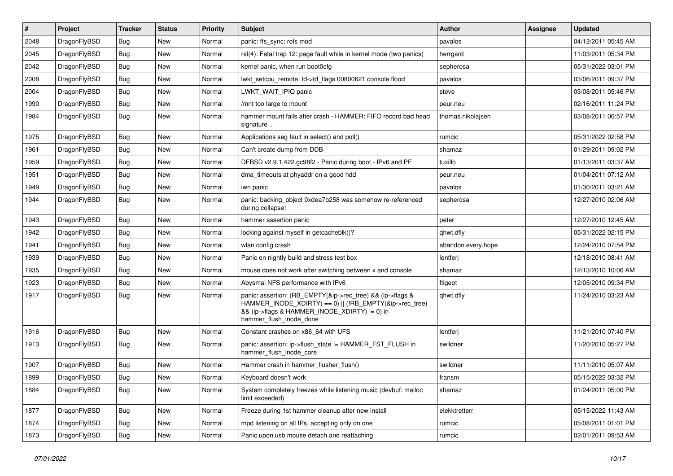| $\vert$ # | Project      | <b>Tracker</b> | <b>Status</b> | <b>Priority</b> | <b>Subject</b>                                                                                                                                                                                    | <b>Author</b>      | Assignee | <b>Updated</b>      |
|-----------|--------------|----------------|---------------|-----------------|---------------------------------------------------------------------------------------------------------------------------------------------------------------------------------------------------|--------------------|----------|---------------------|
| 2048      | DragonFlyBSD | Bug            | <b>New</b>    | Normal          | panic: ffs_sync: rofs mod                                                                                                                                                                         | pavalos            |          | 04/12/2011 05:45 AM |
| 2045      | DragonFlyBSD | <b>Bug</b>     | <b>New</b>    | Normal          | ral(4): Fatal trap 12: page fault while in kernel mode (two panics)                                                                                                                               | herrgard           |          | 11/03/2011 05:34 PM |
| 2042      | DragonFlyBSD | <b>Bug</b>     | <b>New</b>    | Normal          | kernel panic, when run boot0cfg                                                                                                                                                                   | sepherosa          |          | 05/31/2022 03:01 PM |
| 2008      | DragonFlyBSD | Bug            | <b>New</b>    | Normal          | lwkt_setcpu_remote: td->td_flags 00800621 console flood                                                                                                                                           | pavalos            |          | 03/06/2011 09:37 PM |
| 2004      | DragonFlyBSD | Bug            | <b>New</b>    | Normal          | LWKT_WAIT_IPIQ panic                                                                                                                                                                              | steve              |          | 03/08/2011 05:46 PM |
| 1990      | DragonFlyBSD | <b>Bug</b>     | New           | Normal          | /mnt too large to mount                                                                                                                                                                           | peur.neu           |          | 02/16/2011 11:24 PM |
| 1984      | DragonFlyBSD | Bug            | <b>New</b>    | Normal          | hammer mount fails after crash - HAMMER: FIFO record bad head<br>signature                                                                                                                        | thomas.nikolajsen  |          | 03/08/2011 06:57 PM |
| 1975      | DragonFlyBSD | <b>Bug</b>     | <b>New</b>    | Normal          | Applications seg fault in select() and poll()                                                                                                                                                     | rumcic             |          | 05/31/2022 02:58 PM |
| 1961      | DragonFlyBSD | Bug            | <b>New</b>    | Normal          | Can't create dump from DDB                                                                                                                                                                        | shamaz             |          | 01/29/2011 09:02 PM |
| 1959      | DragonFlyBSD | <b>Bug</b>     | <b>New</b>    | Normal          | DFBSD v2.9.1.422.gc98f2 - Panic during boot - IPv6 and PF                                                                                                                                         | tuxillo            |          | 01/13/2011 03:37 AM |
| 1951      | DragonFlyBSD | Bug            | <b>New</b>    | Normal          | dma timeouts at phyaddr on a good hdd                                                                                                                                                             | peur.neu           |          | 01/04/2011 07:12 AM |
| 1949      | DragonFlyBSD | <b>Bug</b>     | <b>New</b>    | Normal          | iwn panic                                                                                                                                                                                         | pavalos            |          | 01/30/2011 03:21 AM |
| 1944      | DragonFlyBSD | Bug            | New           | Normal          | panic: backing_object 0xdea7b258 was somehow re-referenced<br>during collapse!                                                                                                                    | sepherosa          |          | 12/27/2010 02:06 AM |
| 1943      | DragonFlyBSD | <b>Bug</b>     | <b>New</b>    | Normal          | hammer assertion panic                                                                                                                                                                            | peter              |          | 12/27/2010 12:45 AM |
| 1942      | DragonFlyBSD | Bug            | <b>New</b>    | Normal          | locking against myself in getcacheblk()?                                                                                                                                                          | qhwt.dfly          |          | 05/31/2022 02:15 PM |
| 1941      | DragonFlyBSD | Bug            | <b>New</b>    | Normal          | wlan config crash                                                                                                                                                                                 | abandon.every.hope |          | 12/24/2010 07:54 PM |
| 1939      | DragonFlyBSD | Bug            | New           | Normal          | Panic on nightly build and stress test box                                                                                                                                                        | lentferj           |          | 12/18/2010 08:41 AM |
| 1935      | DragonFlyBSD | Bug            | <b>New</b>    | Normal          | mouse does not work after switching between x and console                                                                                                                                         | shamaz             |          | 12/13/2010 10:06 AM |
| 1923      | DragonFlyBSD | <b>Bug</b>     | <b>New</b>    | Normal          | Abysmal NFS performance with IPv6                                                                                                                                                                 | ftigeot            |          | 12/05/2010 09:34 PM |
| 1917      | DragonFlyBSD | Bug            | <b>New</b>    | Normal          | panic: assertion: (RB_EMPTY(&ip->rec_tree) && (ip->flags &<br>HAMMER_INODE_XDIRTY) == 0)    (!RB_EMPTY(&ip->rec_tree)<br>&& (ip->flags & HAMMER_INODE_XDIRTY) != 0) in<br>hammer_flush_inode_done | qhwt.dfly          |          | 11/24/2010 03:23 AM |
| 1916      | DragonFlyBSD | Bug            | <b>New</b>    | Normal          | Constant crashes on x86 64 with UFS                                                                                                                                                               | lentferj           |          | 11/21/2010 07:40 PM |
| 1913      | DragonFlyBSD | Bug            | <b>New</b>    | Normal          | panic: assertion: ip->flush_state != HAMMER_FST_FLUSH in<br>hammer_flush_inode_core                                                                                                               | swildner           |          | 11/20/2010 05:27 PM |
| 1907      | DragonFlyBSD | <b>Bug</b>     | <b>New</b>    | Normal          | Hammer crash in hammer_flusher_flush()                                                                                                                                                            | swildner           |          | 11/11/2010 05:07 AM |
| 1899      | DragonFlyBSD | Bug            | New           | Normal          | Keyboard doesn't work                                                                                                                                                                             | fransm             |          | 05/15/2022 03:32 PM |
| 1884      | DragonFlyBSD | Bug            | New           | Normal          | System completely freezes while listening music (devbuf: malloc<br>limit exceeded)                                                                                                                | shamaz             |          | 01/24/2011 05:00 PM |
| 1877      | DragonFlyBSD | <b>Bug</b>     | New           | Normal          | Freeze during 1st hammer cleanup after new install                                                                                                                                                | elekktretterr      |          | 05/15/2022 11:43 AM |
| 1874      | DragonFlyBSD | Bug            | New           | Normal          | mpd listening on all IPs, accepting only on one                                                                                                                                                   | rumcic             |          | 05/08/2011 01:01 PM |
| 1873      | DragonFlyBSD | <b>Bug</b>     | New           | Normal          | Panic upon usb mouse detach and reattaching                                                                                                                                                       | rumcic             |          | 02/01/2011 09:53 AM |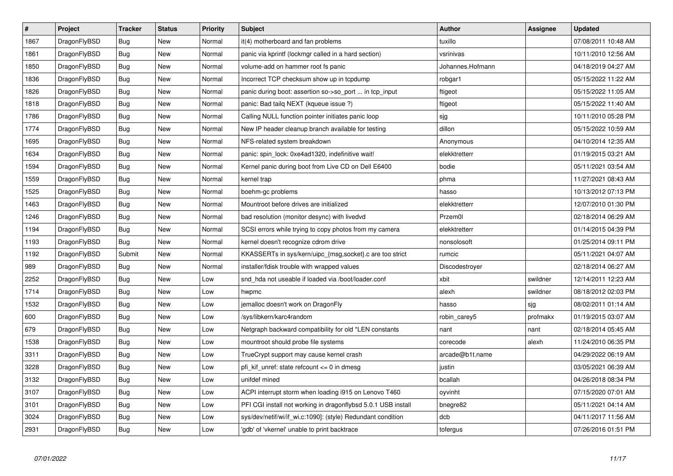| $\vert$ # | Project      | <b>Tracker</b> | <b>Status</b> | Priority | <b>Subject</b>                                                | Author           | Assignee | <b>Updated</b>      |
|-----------|--------------|----------------|---------------|----------|---------------------------------------------------------------|------------------|----------|---------------------|
| 1867      | DragonFlyBSD | Bug            | New           | Normal   | it(4) motherboard and fan problems                            | tuxillo          |          | 07/08/2011 10:48 AM |
| 1861      | DragonFlyBSD | <b>Bug</b>     | <b>New</b>    | Normal   | panic via kprintf (lockmgr called in a hard section)          | vsrinivas        |          | 10/11/2010 12:56 AM |
| 1850      | DragonFlyBSD | Bug            | New           | Normal   | volume-add on hammer root fs panic                            | Johannes.Hofmann |          | 04/18/2019 04:27 AM |
| 1836      | DragonFlyBSD | <b>Bug</b>     | New           | Normal   | Incorrect TCP checksum show up in tcpdump                     | robgar1          |          | 05/15/2022 11:22 AM |
| 1826      | DragonFlyBSD | <b>Bug</b>     | <b>New</b>    | Normal   | panic during boot: assertion so->so_port  in tcp_input        | ftigeot          |          | 05/15/2022 11:05 AM |
| 1818      | DragonFlyBSD | <b>Bug</b>     | <b>New</b>    | Normal   | panic: Bad tailq NEXT (kqueue issue ?)                        | ftigeot          |          | 05/15/2022 11:40 AM |
| 1786      | DragonFlyBSD | <b>Bug</b>     | <b>New</b>    | Normal   | Calling NULL function pointer initiates panic loop            | sjg              |          | 10/11/2010 05:28 PM |
| 1774      | DragonFlyBSD | Bug            | <b>New</b>    | Normal   | New IP header cleanup branch available for testing            | dillon           |          | 05/15/2022 10:59 AM |
| 1695      | DragonFlyBSD | <b>Bug</b>     | New           | Normal   | NFS-related system breakdown                                  | Anonymous        |          | 04/10/2014 12:35 AM |
| 1634      | DragonFlyBSD | <b>Bug</b>     | <b>New</b>    | Normal   | panic: spin lock: 0xe4ad1320, indefinitive wait!              | elekktretterr    |          | 01/19/2015 03:21 AM |
| 1594      | DragonFlyBSD | Bug            | New           | Normal   | Kernel panic during boot from Live CD on Dell E6400           | bodie            |          | 05/11/2021 03:54 AM |
| 1559      | DragonFlyBSD | <b>Bug</b>     | New           | Normal   | kernel trap                                                   | phma             |          | 11/27/2021 08:43 AM |
| 1525      | DragonFlyBSD | <b>Bug</b>     | <b>New</b>    | Normal   | boehm-gc problems                                             | hasso            |          | 10/13/2012 07:13 PM |
| 1463      | DragonFlyBSD | <b>Bug</b>     | <b>New</b>    | Normal   | Mountroot before drives are initialized                       | elekktretterr    |          | 12/07/2010 01:30 PM |
| 1246      | DragonFlyBSD | <b>Bug</b>     | New           | Normal   | bad resolution (monitor desync) with livedvd                  | Przem0l          |          | 02/18/2014 06:29 AM |
| 1194      | DragonFlyBSD | <b>Bug</b>     | <b>New</b>    | Normal   | SCSI errors while trying to copy photos from my camera        | elekktretterr    |          | 01/14/2015 04:39 PM |
| 1193      | DragonFlyBSD | Bug            | New           | Normal   | kernel doesn't recognize cdrom drive                          | nonsolosoft      |          | 01/25/2014 09:11 PM |
| 1192      | DragonFlyBSD | Submit         | New           | Normal   | KKASSERTs in sys/kern/uipc_{msg,socket}.c are too strict      | rumcic           |          | 05/11/2021 04:07 AM |
| 989       | DragonFlyBSD | Bug            | New           | Normal   | installer/fdisk trouble with wrapped values                   | Discodestroyer   |          | 02/18/2014 06:27 AM |
| 2252      | DragonFlyBSD | Bug            | New           | Low      | snd hda not useable if loaded via /boot/loader.conf           | xbit             | swildner | 12/14/2011 12:23 AM |
| 1714      | DragonFlyBSD | <b>Bug</b>     | New           | Low      | hwpmc                                                         | alexh            | swildner | 08/18/2012 02:03 PM |
| 1532      | DragonFlyBSD | Bug            | New           | Low      | jemalloc doesn't work on DragonFly                            | hasso            | sjg      | 08/02/2011 01:14 AM |
| 600       | DragonFlyBSD | <b>Bug</b>     | New           | Low      | /sys/libkern/karc4random                                      | robin_carey5     | profmakx | 01/19/2015 03:07 AM |
| 679       | DragonFlyBSD | <b>Bug</b>     | New           | Low      | Netgraph backward compatibility for old *LEN constants        | nant             | nant     | 02/18/2014 05:45 AM |
| 1538      | DragonFlyBSD | Bug            | New           | Low      | mountroot should probe file systems                           | corecode         | alexh    | 11/24/2010 06:35 PM |
| 3311      | DragonFlyBSD | <b>Bug</b>     | <b>New</b>    | Low      | TrueCrypt support may cause kernel crash                      | arcade@b1t.name  |          | 04/29/2022 06:19 AM |
| 3228      | DragonFlyBSD | Bug            | New           | Low      | pfi_kif_unref: state refcount <= 0 in dmesg                   | justin           |          | 03/05/2021 06:39 AM |
| 3132      | DragonFlyBSD | <b>Bug</b>     | <b>New</b>    | Low      | unifdef mined                                                 | bcallah          |          | 04/26/2018 08:34 PM |
| 3107      | DragonFlyBSD | <b>Bug</b>     | <b>New</b>    | Low      | ACPI interrupt storm when loading i915 on Lenovo T460         | oyvinht          |          | 07/15/2020 07:01 AM |
| 3101      | DragonFlyBSD | Bug            | New           | Low      | PFI CGI install not working in dragonflybsd 5.0.1 USB install | bnegre82         |          | 05/11/2021 04:14 AM |
| 3024      | DragonFlyBSD | Bug            | New           | Low      | sys/dev/netif/wi/if_wi.c:1090]: (style) Redundant condition   | dcb              |          | 04/11/2017 11:56 AM |
| 2931      | DragonFlyBSD | Bug            | <b>New</b>    | Low      | 'gdb' of 'vkernel' unable to print backtrace                  | tofergus         |          | 07/26/2016 01:51 PM |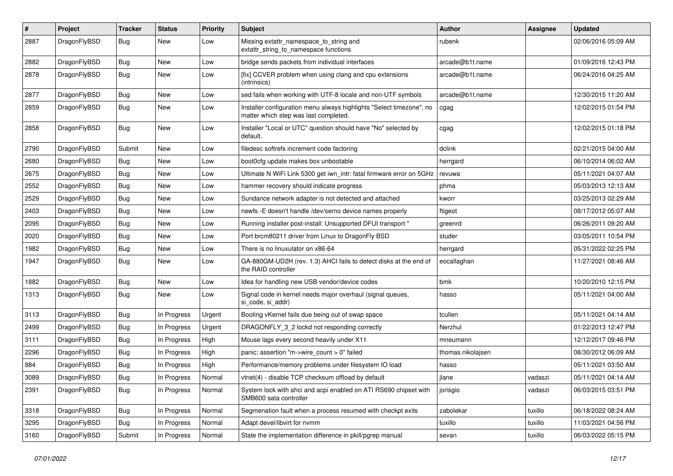| $\sharp$ | Project      | <b>Tracker</b> | <b>Status</b> | <b>Priority</b> | Subject                                                                                                       | <b>Author</b>     | <b>Assignee</b> | <b>Updated</b>      |
|----------|--------------|----------------|---------------|-----------------|---------------------------------------------------------------------------------------------------------------|-------------------|-----------------|---------------------|
| 2887     | DragonFlyBSD | Bug            | New           | Low             | Missing extattr_namespace_to_string and<br>extattr_string_to_namespace functions                              | rubenk            |                 | 02/06/2016 05:09 AM |
| 2882     | DragonFlyBSD | Bug            | New           | Low             | bridge sends packets from individual interfaces                                                               | arcade@b1t.name   |                 | 01/09/2016 12:43 PM |
| 2878     | DragonFlyBSD | Bug            | <b>New</b>    | Low             | [fix] CCVER problem when using clang and cpu extensions<br>(intrinsics)                                       | arcade@b1t.name   |                 | 06/24/2016 04:25 AM |
| 2877     | DragonFlyBSD | Bug            | <b>New</b>    | Low             | sed fails when working with UTF-8 locale and non-UTF symbols                                                  | arcade@b1t.name   |                 | 12/30/2015 11:20 AM |
| 2859     | DragonFlyBSD | Bug            | New           | Low             | Installer configuration menu always highlights "Select timezone", no<br>matter which step was last completed. | cgag              |                 | 12/02/2015 01:54 PM |
| 2858     | DragonFlyBSD | Bug            | New           | Low             | Installer "Local or UTC" question should have "No" selected by<br>default.                                    | cgag              |                 | 12/02/2015 01:18 PM |
| 2790     | DragonFlyBSD | Submit         | <b>New</b>    | Low             | filedesc softrefs increment code factoring                                                                    | dclink            |                 | 02/21/2015 04:00 AM |
| 2680     | DragonFlyBSD | Bug            | New           | Low             | boot0cfg update makes box unbootable                                                                          | herrgard          |                 | 06/10/2014 06:02 AM |
| 2675     | DragonFlyBSD | <b>Bug</b>     | New           | Low             | Ultimate N WiFi Link 5300 get iwn_intr: fatal firmware error on 5GHz                                          | revuwa            |                 | 05/11/2021 04:07 AM |
| 2552     | DragonFlyBSD | <b>Bug</b>     | New           | Low             | hammer recovery should indicate progress                                                                      | phma              |                 | 05/03/2013 12:13 AM |
| 2529     | DragonFlyBSD | <b>Bug</b>     | <b>New</b>    | Low             | Sundance network adapter is not detected and attached                                                         | kworr             |                 | 03/25/2013 02:29 AM |
| 2403     | DragonFlyBSD | Bug            | New           | Low             | newfs - E doesn't handle / dev/serno device names properly                                                    | ftigeot           |                 | 08/17/2012 05:07 AM |
| 2095     | DragonFlyBSD | <b>Bug</b>     | New           | Low             | Running installer post-install: Unsupported DFUI transport "                                                  | greenrd           |                 | 06/26/2011 09:20 AM |
| 2020     | DragonFlyBSD | <b>Bug</b>     | New           | Low             | Port brcm80211 driver from Linux to DragonFly BSD                                                             | studer            |                 | 03/05/2011 10:54 PM |
| 1982     | DragonFlyBSD | <b>Bug</b>     | New           | Low             | There is no linuxulator on x86-64                                                                             | herrgard          |                 | 05/31/2022 02:25 PM |
| 1947     | DragonFlyBSD | <b>Bug</b>     | <b>New</b>    | Low             | GA-880GM-UD2H (rev. 1.3) AHCI fails to detect disks at the end of<br>the RAID controller                      | eocallaghan       |                 | 11/27/2021 08:46 AM |
| 1882     | DragonFlyBSD | <b>Bug</b>     | New           | Low             | Idea for handling new USB vendor/device codes                                                                 | bmk               |                 | 10/20/2010 12:15 PM |
| 1313     | DragonFlyBSD | <b>Bug</b>     | New           | Low             | Signal code in kernel needs major overhaul (signal queues,<br>si code, si addr)                               | hasso             |                 | 05/11/2021 04:00 AM |
| 3113     | DragonFlyBSD | <b>Bug</b>     | In Progress   | Urgent          | Booting vKernel fails due being out of swap space                                                             | tcullen           |                 | 05/11/2021 04:14 AM |
| 2499     | DragonFlyBSD | <b>Bug</b>     | In Progress   | Urgent          | DRAGONFLY_3_2 lockd not responding correctly                                                                  | Nerzhul           |                 | 01/22/2013 12:47 PM |
| 3111     | DragonFlyBSD | <b>Bug</b>     | In Progress   | High            | Mouse lags every second heavily under X11                                                                     | mneumann          |                 | 12/12/2017 09:46 PM |
| 2296     | DragonFlyBSD | <b>Bug</b>     | In Progress   | High            | panic: assertion "m->wire_count > 0" failed                                                                   | thomas.nikolajsen |                 | 08/30/2012 06:09 AM |
| 884      | DragonFlyBSD | <b>Bug</b>     | In Progress   | High            | Performance/memory problems under filesystem IO load                                                          | hasso             |                 | 05/11/2021 03:50 AM |
| 3089     | DragonFlyBSD | <b>Bug</b>     | In Progress   | Normal          | vtnet(4) - disable TCP checksum offload by default                                                            | jlane             | vadaszi         | 05/11/2021 04:14 AM |
| 2391     | DragonFlyBSD | Bug            | In Progress   | Normal          | System lock with ahci and acpi enabled on ATI RS690 chipset with<br>SMB600 sata controller                    | jorisgio          | vadaszi         | 06/03/2015 03:51 PM |
| 3318     | DragonFlyBSD | <b>Bug</b>     | In Progress   | Normal          | Segmenation fault when a process resumed with checkpt exits                                                   | zabolekar         | tuxillo         | 06/18/2022 08:24 AM |
| 3295     | DragonFlyBSD | Bug            | In Progress   | Normal          | Adapt devel/libvirt for nvmm                                                                                  | tuxillo           | tuxillo         | 11/03/2021 04:56 PM |
| 3160     | DragonFlyBSD | Submit         | In Progress   | Normal          | State the implementation difference in pkill/pgrep manual                                                     | sevan             | tuxillo         | 06/03/2022 05:15 PM |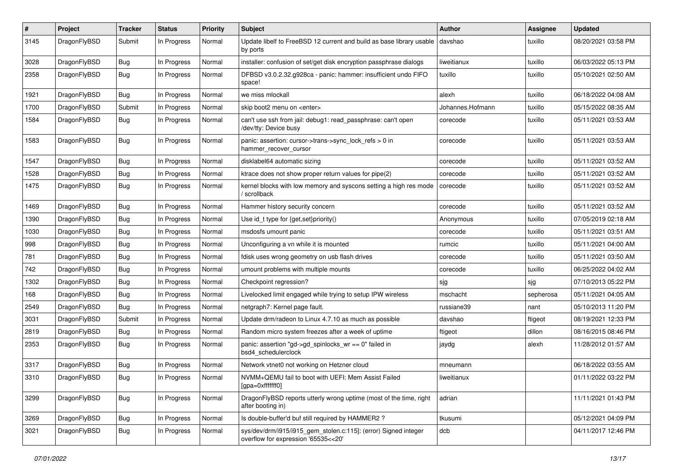| $\sharp$ | Project      | <b>Tracker</b> | <b>Status</b> | <b>Priority</b> | Subject                                                                                                | <b>Author</b>    | <b>Assignee</b> | <b>Updated</b>      |
|----------|--------------|----------------|---------------|-----------------|--------------------------------------------------------------------------------------------------------|------------------|-----------------|---------------------|
| 3145     | DragonFlyBSD | Submit         | In Progress   | Normal          | Update libelf to FreeBSD 12 current and build as base library usable<br>by ports                       | davshao          | tuxillo         | 08/20/2021 03:58 PM |
| 3028     | DragonFlyBSD | <b>Bug</b>     | In Progress   | Normal          | installer: confusion of set/get disk encryption passphrase dialogs                                     | liweitianux      | tuxillo         | 06/03/2022 05:13 PM |
| 2358     | DragonFlyBSD | <b>Bug</b>     | In Progress   | Normal          | DFBSD v3.0.2.32.g928ca - panic: hammer: insufficient undo FIFO<br>space!                               | tuxillo          | tuxillo         | 05/10/2021 02:50 AM |
| 1921     | DragonFlyBSD | Bug            | In Progress   | Normal          | we miss mlockall                                                                                       | alexh            | tuxillo         | 06/18/2022 04:08 AM |
| 1700     | DragonFlyBSD | Submit         | In Progress   | Normal          | skip boot2 menu on <enter></enter>                                                                     | Johannes.Hofmann | tuxillo         | 05/15/2022 08:35 AM |
| 1584     | DragonFlyBSD | <b>Bug</b>     | In Progress   | Normal          | can't use ssh from jail: debug1: read_passphrase: can't open<br>/dev/tty: Device busy                  | corecode         | tuxillo         | 05/11/2021 03:53 AM |
| 1583     | DragonFlyBSD | Bug            | In Progress   | Normal          | panic: assertion: cursor->trans->sync_lock_refs > 0 in<br>hammer_recover_cursor                        | corecode         | tuxillo         | 05/11/2021 03:53 AM |
| 1547     | DragonFlyBSD | <b>Bug</b>     | In Progress   | Normal          | disklabel64 automatic sizing                                                                           | corecode         | tuxillo         | 05/11/2021 03:52 AM |
| 1528     | DragonFlyBSD | Bug            | In Progress   | Normal          | ktrace does not show proper return values for pipe(2)                                                  | corecode         | tuxillo         | 05/11/2021 03:52 AM |
| 1475     | DragonFlyBSD | <b>Bug</b>     | In Progress   | Normal          | kernel blocks with low memory and syscons setting a high res mode<br>' scrollback                      | corecode         | tuxillo         | 05/11/2021 03:52 AM |
| 1469     | DragonFlyBSD | Bug            | In Progress   | Normal          | Hammer history security concern                                                                        | corecode         | tuxillo         | 05/11/2021 03:52 AM |
| 1390     | DragonFlyBSD | <b>Bug</b>     | In Progress   | Normal          | Use id_t type for {get,set}priority()                                                                  | Anonymous        | tuxillo         | 07/05/2019 02:18 AM |
| 1030     | DragonFlyBSD | <b>Bug</b>     | In Progress   | Normal          | msdosfs umount panic                                                                                   | corecode         | tuxillo         | 05/11/2021 03:51 AM |
| 998      | DragonFlyBSD | <b>Bug</b>     | In Progress   | Normal          | Unconfiguring a vn while it is mounted                                                                 | rumcic           | tuxillo         | 05/11/2021 04:00 AM |
| 781      | DragonFlyBSD | <b>Bug</b>     | In Progress   | Normal          | fdisk uses wrong geometry on usb flash drives                                                          | corecode         | tuxillo         | 05/11/2021 03:50 AM |
| 742      | DragonFlyBSD | <b>Bug</b>     | In Progress   | Normal          | umount problems with multiple mounts                                                                   | corecode         | tuxillo         | 06/25/2022 04:02 AM |
| 1302     | DragonFlyBSD | <b>Bug</b>     | In Progress   | Normal          | Checkpoint regression?                                                                                 | sjg              | sjg             | 07/10/2013 05:22 PM |
| 168      | DragonFlyBSD | <b>Bug</b>     | In Progress   | Normal          | Livelocked limit engaged while trying to setup IPW wireless                                            | mschacht         | sepherosa       | 05/11/2021 04:05 AM |
| 2549     | DragonFlyBSD | Bug            | In Progress   | Normal          | netgraph7: Kernel page fault.                                                                          | russiane39       | nant            | 05/10/2013 11:20 PM |
| 3031     | DragonFlyBSD | Submit         | In Progress   | Normal          | Update drm/radeon to Linux 4.7.10 as much as possible                                                  | davshao          | ftigeot         | 08/19/2021 12:33 PM |
| 2819     | DragonFlyBSD | <b>Bug</b>     | In Progress   | Normal          | Random micro system freezes after a week of uptime                                                     | ftigeot          | dillon          | 08/16/2015 08:46 PM |
| 2353     | DragonFlyBSD | <b>Bug</b>     | In Progress   | Normal          | panic: assertion "gd->gd_spinlocks_wr == 0" failed in<br>bsd4_schedulerclock                           | jaydg            | alexh           | 11/28/2012 01:57 AM |
| 3317     | DragonFlyBSD | <b>Bug</b>     | In Progress   | Normal          | Network vtnet0 not working on Hetzner cloud                                                            | mneumann         |                 | 06/18/2022 03:55 AM |
| 3310     | DragonFlyBSD | Bug            | In Progress   | Normal          | NVMM+QEMU fail to boot with UEFI: Mem Assist Failed<br>[gpa=0xfffffff0]                                | liweitianux      |                 | 01/11/2022 03:22 PM |
| 3299     | DragonFlyBSD | <b>Bug</b>     | In Progress   | Normal          | DragonFlyBSD reports utterly wrong uptime (most of the time, right<br>after booting in)                | adrian           |                 | 11/11/2021 01:43 PM |
| 3269     | DragonFlyBSD | <b>Bug</b>     | In Progress   | Normal          | Is double-buffer'd buf still required by HAMMER2?                                                      | tkusumi          |                 | 05/12/2021 04:09 PM |
| 3021     | DragonFlyBSD | <b>Bug</b>     | In Progress   | Normal          | sys/dev/drm/i915/i915_gem_stolen.c:115]: (error) Signed integer<br>overflow for expression '65535<<20' | dcb              |                 | 04/11/2017 12:46 PM |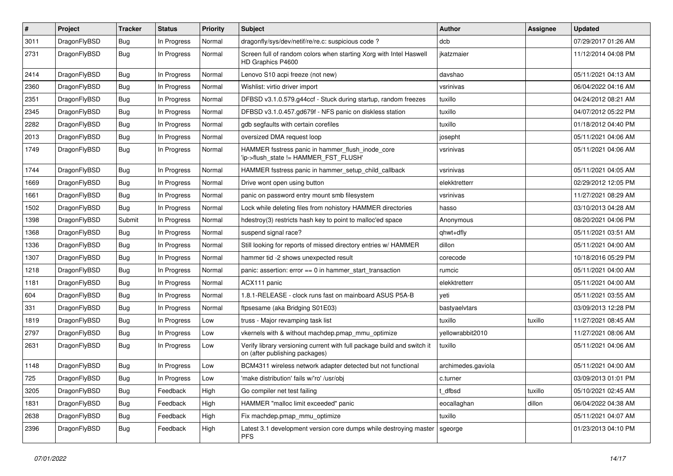| $\sharp$ | Project      | <b>Tracker</b> | <b>Status</b> | <b>Priority</b> | Subject                                                                                                   | <b>Author</b>      | Assignee | <b>Updated</b>      |
|----------|--------------|----------------|---------------|-----------------|-----------------------------------------------------------------------------------------------------------|--------------------|----------|---------------------|
| 3011     | DragonFlyBSD | <b>Bug</b>     | In Progress   | Normal          | dragonfly/sys/dev/netif/re/re.c: suspicious code ?                                                        | dcb                |          | 07/29/2017 01:26 AM |
| 2731     | DragonFlyBSD | <b>Bug</b>     | In Progress   | Normal          | Screen full of random colors when starting Xorg with Intel Haswell<br>HD Graphics P4600                   | ikatzmaier         |          | 11/12/2014 04:08 PM |
| 2414     | DragonFlyBSD | <b>Bug</b>     | In Progress   | Normal          | Lenovo S10 acpi freeze (not new)                                                                          | davshao            |          | 05/11/2021 04:13 AM |
| 2360     | DragonFlyBSD | <b>Bug</b>     | In Progress   | Normal          | Wishlist: virtio driver import                                                                            | vsrinivas          |          | 06/04/2022 04:16 AM |
| 2351     | DragonFlyBSD | <b>Bug</b>     | In Progress   | Normal          | DFBSD v3.1.0.579.g44ccf - Stuck during startup, random freezes                                            | tuxillo            |          | 04/24/2012 08:21 AM |
| 2345     | DragonFlyBSD | <b>Bug</b>     | In Progress   | Normal          | DFBSD v3.1.0.457.gd679f - NFS panic on diskless station                                                   | tuxillo            |          | 04/07/2012 05:22 PM |
| 2282     | DragonFlyBSD | <b>Bug</b>     | In Progress   | Normal          | gdb segfaults with certain corefiles                                                                      | tuxillo            |          | 01/18/2012 04:40 PM |
| 2013     | DragonFlyBSD | <b>Bug</b>     | In Progress   | Normal          | oversized DMA request loop                                                                                | josepht            |          | 05/11/2021 04:06 AM |
| 1749     | DragonFlyBSD | <b>Bug</b>     | In Progress   | Normal          | HAMMER fsstress panic in hammer_flush_inode_core<br>'ip->flush_state != HAMMER_FST_FLUSH'                 | vsrinivas          |          | 05/11/2021 04:06 AM |
| 1744     | DragonFlyBSD | <b>Bug</b>     | In Progress   | Normal          | HAMMER fsstress panic in hammer_setup_child_callback                                                      | vsrinivas          |          | 05/11/2021 04:05 AM |
| 1669     | DragonFlyBSD | <b>Bug</b>     | In Progress   | Normal          | Drive wont open using button                                                                              | elekktretterr      |          | 02/29/2012 12:05 PM |
| 1661     | DragonFlyBSD | <b>Bug</b>     | In Progress   | Normal          | panic on password entry mount smb filesystem                                                              | vsrinivas          |          | 11/27/2021 08:29 AM |
| 1502     | DragonFlyBSD | <b>Bug</b>     | In Progress   | Normal          | Lock while deleting files from nohistory HAMMER directories                                               | hasso              |          | 03/10/2013 04:28 AM |
| 1398     | DragonFlyBSD | Submit         | In Progress   | Normal          | hdestroy(3) restricts hash key to point to malloc'ed space                                                | Anonymous          |          | 08/20/2021 04:06 PM |
| 1368     | DragonFlyBSD | <b>Bug</b>     | In Progress   | Normal          | suspend signal race?                                                                                      | qhwt+dfly          |          | 05/11/2021 03:51 AM |
| 1336     | DragonFlyBSD | <b>Bug</b>     | In Progress   | Normal          | Still looking for reports of missed directory entries w/ HAMMER                                           | dillon             |          | 05/11/2021 04:00 AM |
| 1307     | DragonFlyBSD | <b>Bug</b>     | In Progress   | Normal          | hammer tid -2 shows unexpected result                                                                     | corecode           |          | 10/18/2016 05:29 PM |
| 1218     | DragonFlyBSD | <b>Bug</b>     | In Progress   | Normal          | panic: assertion: error == 0 in hammer_start_transaction                                                  | rumcic             |          | 05/11/2021 04:00 AM |
| 1181     | DragonFlyBSD | <b>Bug</b>     | In Progress   | Normal          | ACX111 panic                                                                                              | elekktretterr      |          | 05/11/2021 04:00 AM |
| 604      | DragonFlyBSD | <b>Bug</b>     | In Progress   | Normal          | 1.8.1-RELEASE - clock runs fast on mainboard ASUS P5A-B                                                   | yeti               |          | 05/11/2021 03:55 AM |
| 331      | DragonFlyBSD | <b>Bug</b>     | In Progress   | Normal          | ftpsesame (aka Bridging S01E03)                                                                           | bastyaelvtars      |          | 03/09/2013 12:28 PM |
| 1819     | DragonFlyBSD | <b>Bug</b>     | In Progress   | Low             | truss - Major revamping task list                                                                         | tuxillo            | tuxillo  | 11/27/2021 08:45 AM |
| 2797     | DragonFlyBSD | <b>Bug</b>     | In Progress   | Low             | vkernels with & without machdep.pmap_mmu_optimize                                                         | yellowrabbit2010   |          | 11/27/2021 08:06 AM |
| 2631     | DragonFlyBSD | <b>Bug</b>     | In Progress   | Low             | Verify library versioning current with full package build and switch it<br>on (after publishing packages) | tuxillo            |          | 05/11/2021 04:06 AM |
| 1148     | DragonFlyBSD | <b>Bug</b>     | In Progress   | Low             | BCM4311 wireless network adapter detected but not functional                                              | archimedes.gaviola |          | 05/11/2021 04:00 AM |
| 725      | DragonFlyBSD | Bug            | In Progress   | Low             | 'make distribution' fails w/'ro' /usr/obj                                                                 | c.turner           |          | 03/09/2013 01:01 PM |
| 3205     | DragonFlyBSD | <b>Bug</b>     | Feedback      | High            | Go compiler net test failing                                                                              | t_dfbsd            | tuxillo  | 05/10/2021 02:45 AM |
| 1831     | DragonFlyBSD | <b>Bug</b>     | Feedback      | High            | HAMMER "malloc limit exceeded" panic                                                                      | eocallaghan        | dillon   | 06/04/2022 04:38 AM |
| 2638     | DragonFlyBSD | <b>Bug</b>     | Feedback      | High            | Fix machdep.pmap_mmu_optimize                                                                             | tuxillo            |          | 05/11/2021 04:07 AM |
| 2396     | DragonFlyBSD | <b>Bug</b>     | Feedback      | High            | Latest 3.1 development version core dumps while destroying master<br><b>PFS</b>                           | sgeorge            |          | 01/23/2013 04:10 PM |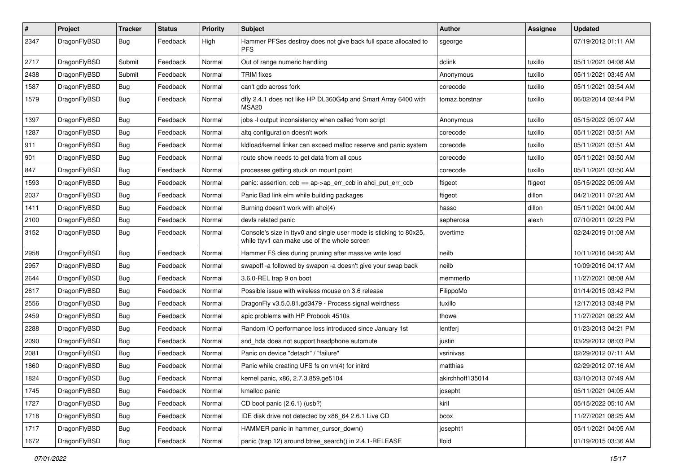| $\sharp$ | Project      | <b>Tracker</b> | <b>Status</b> | <b>Priority</b> | Subject                                                                                                            | <b>Author</b>    | Assignee | <b>Updated</b>      |
|----------|--------------|----------------|---------------|-----------------|--------------------------------------------------------------------------------------------------------------------|------------------|----------|---------------------|
| 2347     | DragonFlyBSD | <b>Bug</b>     | Feedback      | High            | Hammer PFSes destroy does not give back full space allocated to<br><b>PFS</b>                                      | sgeorge          |          | 07/19/2012 01:11 AM |
| 2717     | DragonFlyBSD | Submit         | Feedback      | Normal          | Out of range numeric handling                                                                                      | dclink           | tuxillo  | 05/11/2021 04:08 AM |
| 2438     | DragonFlyBSD | Submit         | Feedback      | Normal          | <b>TRIM</b> fixes                                                                                                  | Anonymous        | tuxillo  | 05/11/2021 03:45 AM |
| 1587     | DragonFlyBSD | Bug            | Feedback      | Normal          | can't gdb across fork                                                                                              | corecode         | tuxillo  | 05/11/2021 03:54 AM |
| 1579     | DragonFlyBSD | <b>Bug</b>     | Feedback      | Normal          | dfly 2.4.1 does not like HP DL360G4p and Smart Array 6400 with<br>MSA20                                            | tomaz.borstnar   | tuxillo  | 06/02/2014 02:44 PM |
| 1397     | DragonFlyBSD | <b>Bug</b>     | Feedback      | Normal          | jobs -I output inconsistency when called from script                                                               | Anonymous        | tuxillo  | 05/15/2022 05:07 AM |
| 1287     | DragonFlyBSD | <b>Bug</b>     | Feedback      | Normal          | altq configuration doesn't work                                                                                    | corecode         | tuxillo  | 05/11/2021 03:51 AM |
| 911      | DragonFlyBSD | <b>Bug</b>     | Feedback      | Normal          | kldload/kernel linker can exceed malloc reserve and panic system                                                   | corecode         | tuxillo  | 05/11/2021 03:51 AM |
| 901      | DragonFlyBSD | <b>Bug</b>     | Feedback      | Normal          | route show needs to get data from all cpus                                                                         | corecode         | tuxillo  | 05/11/2021 03:50 AM |
| 847      | DragonFlyBSD | <b>Bug</b>     | Feedback      | Normal          | processes getting stuck on mount point                                                                             | corecode         | tuxillo  | 05/11/2021 03:50 AM |
| 1593     | DragonFlyBSD | <b>Bug</b>     | Feedback      | Normal          | panic: assertion: ccb == ap->ap_err_ccb in ahci_put_err_ccb                                                        | ftigeot          | ftigeot  | 05/15/2022 05:09 AM |
| 2037     | DragonFlyBSD | <b>Bug</b>     | Feedback      | Normal          | Panic Bad link elm while building packages                                                                         | ftigeot          | dillon   | 04/21/2011 07:20 AM |
| 1411     | DragonFlyBSD | <b>Bug</b>     | Feedback      | Normal          | Burning doesn't work with ahci(4)                                                                                  | hasso            | dillon   | 05/11/2021 04:00 AM |
| 2100     | DragonFlyBSD | <b>Bug</b>     | Feedback      | Normal          | devfs related panic                                                                                                | sepherosa        | alexh    | 07/10/2011 02:29 PM |
| 3152     | DragonFlyBSD | <b>Bug</b>     | Feedback      | Normal          | Console's size in ttyv0 and single user mode is sticking to 80x25,<br>while ttyv1 can make use of the whole screen | overtime         |          | 02/24/2019 01:08 AM |
| 2958     | DragonFlyBSD | <b>Bug</b>     | Feedback      | Normal          | Hammer FS dies during pruning after massive write load                                                             | neilb            |          | 10/11/2016 04:20 AM |
| 2957     | DragonFlyBSD | <b>Bug</b>     | Feedback      | Normal          | swapoff -a followed by swapon -a doesn't give your swap back                                                       | neilb            |          | 10/09/2016 04:17 AM |
| 2644     | DragonFlyBSD | <b>Bug</b>     | Feedback      | Normal          | 3.6.0-REL trap 9 on boot                                                                                           | memmerto         |          | 11/27/2021 08:08 AM |
| 2617     | DragonFlyBSD | <b>Bug</b>     | Feedback      | Normal          | Possible issue with wireless mouse on 3.6 release                                                                  | FilippoMo        |          | 01/14/2015 03:42 PM |
| 2556     | DragonFlyBSD | Bug            | Feedback      | Normal          | DragonFly v3.5.0.81.gd3479 - Process signal weirdness                                                              | tuxillo          |          | 12/17/2013 03:48 PM |
| 2459     | DragonFlyBSD | Bug            | Feedback      | Normal          | apic problems with HP Probook 4510s                                                                                | thowe            |          | 11/27/2021 08:22 AM |
| 2288     | DragonFlyBSD | <b>Bug</b>     | Feedback      | Normal          | Random IO performance loss introduced since January 1st                                                            | lentferj         |          | 01/23/2013 04:21 PM |
| 2090     | DragonFlyBSD | <b>Bug</b>     | Feedback      | Normal          | snd_hda does not support headphone automute                                                                        | justin           |          | 03/29/2012 08:03 PM |
| 2081     | DragonFlyBSD | <b>Bug</b>     | Feedback      | Normal          | Panic on device "detach" / "failure"                                                                               | vsrinivas        |          | 02/29/2012 07:11 AM |
| 1860     | DragonFlyBSD | <b>Bug</b>     | Feedback      | Normal          | Panic while creating UFS fs on vn(4) for initrd                                                                    | matthias         |          | 02/29/2012 07:16 AM |
| 1824     | DragonFlyBSD | Bug            | Feedback      | Normal          | kernel panic, x86, 2.7.3.859.ge5104                                                                                | akirchhoff135014 |          | 03/10/2013 07:49 AM |
| 1745     | DragonFlyBSD | <b>Bug</b>     | Feedback      | Normal          | kmalloc panic                                                                                                      | josepht          |          | 05/11/2021 04:05 AM |
| 1727     | DragonFlyBSD | Bug            | Feedback      | Normal          | CD boot panic (2.6.1) (usb?)                                                                                       | kiril            |          | 05/15/2022 05:10 AM |
| 1718     | DragonFlyBSD | Bug            | Feedback      | Normal          | IDE disk drive not detected by x86_64 2.6.1 Live CD                                                                | bcox             |          | 11/27/2021 08:25 AM |
| 1717     | DragonFlyBSD | Bug            | Feedback      | Normal          | HAMMER panic in hammer cursor down()                                                                               | josepht1         |          | 05/11/2021 04:05 AM |
| 1672     | DragonFlyBSD | <b>Bug</b>     | Feedback      | Normal          | panic (trap 12) around btree_search() in 2.4.1-RELEASE                                                             | floid            |          | 01/19/2015 03:36 AM |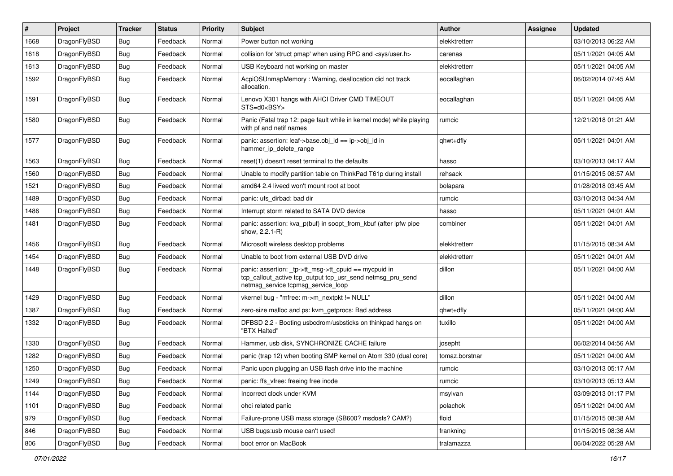| #    | Project      | <b>Tracker</b> | <b>Status</b> | <b>Priority</b> | Subject                                                                                                                                                   | <b>Author</b>  | <b>Assignee</b> | <b>Updated</b>      |
|------|--------------|----------------|---------------|-----------------|-----------------------------------------------------------------------------------------------------------------------------------------------------------|----------------|-----------------|---------------------|
| 1668 | DragonFlyBSD | <b>Bug</b>     | Feedback      | Normal          | Power button not working                                                                                                                                  | elekktretterr  |                 | 03/10/2013 06:22 AM |
| 1618 | DragonFlyBSD | Bug            | Feedback      | Normal          | collision for 'struct pmap' when using RPC and <sys user.h=""></sys>                                                                                      | carenas        |                 | 05/11/2021 04:05 AM |
| 1613 | DragonFlyBSD | <b>Bug</b>     | Feedback      | Normal          | USB Keyboard not working on master                                                                                                                        | elekktretterr  |                 | 05/11/2021 04:05 AM |
| 1592 | DragonFlyBSD | <b>Bug</b>     | Feedback      | Normal          | AcpiOSUnmapMemory: Warning, deallocation did not track<br>allocation.                                                                                     | eocallaghan    |                 | 06/02/2014 07:45 AM |
| 1591 | DragonFlyBSD | Bug            | Feedback      | Normal          | Lenovo X301 hangs with AHCI Driver CMD TIMEOUT<br>STS=d0 <bsy></bsy>                                                                                      | eocallaghan    |                 | 05/11/2021 04:05 AM |
| 1580 | DragonFlyBSD | Bug            | Feedback      | Normal          | Panic (Fatal trap 12: page fault while in kernel mode) while playing<br>with pf and netif names                                                           | rumcic         |                 | 12/21/2018 01:21 AM |
| 1577 | DragonFlyBSD | Bug            | Feedback      | Normal          | panic: assertion: leaf->base.obj_id == ip->obj_id in<br>hammer_ip_delete_range                                                                            | qhwt+dfly      |                 | 05/11/2021 04:01 AM |
| 1563 | DragonFlyBSD | Bug            | Feedback      | Normal          | reset(1) doesn't reset terminal to the defaults                                                                                                           | hasso          |                 | 03/10/2013 04:17 AM |
| 1560 | DragonFlyBSD | Bug            | Feedback      | Normal          | Unable to modify partition table on ThinkPad T61p during install                                                                                          | rehsack        |                 | 01/15/2015 08:57 AM |
| 1521 | DragonFlyBSD | <b>Bug</b>     | Feedback      | Normal          | amd64 2.4 livecd won't mount root at boot                                                                                                                 | bolapara       |                 | 01/28/2018 03:45 AM |
| 1489 | DragonFlyBSD | <b>Bug</b>     | Feedback      | Normal          | panic: ufs dirbad: bad dir                                                                                                                                | rumcic         |                 | 03/10/2013 04:34 AM |
| 1486 | DragonFlyBSD | <b>Bug</b>     | Feedback      | Normal          | Interrupt storm related to SATA DVD device                                                                                                                | hasso          |                 | 05/11/2021 04:01 AM |
| 1481 | DragonFlyBSD | <b>Bug</b>     | Feedback      | Normal          | panic: assertion: kva_p(buf) in soopt_from_kbuf (after ipfw pipe<br>show, 2.2.1-R)                                                                        | combiner       |                 | 05/11/2021 04:01 AM |
| 1456 | DragonFlyBSD | Bug            | Feedback      | Normal          | Microsoft wireless desktop problems                                                                                                                       | elekktretterr  |                 | 01/15/2015 08:34 AM |
| 1454 | DragonFlyBSD | <b>Bug</b>     | Feedback      | Normal          | Unable to boot from external USB DVD drive                                                                                                                | elekktretterr  |                 | 05/11/2021 04:01 AM |
| 1448 | DragonFlyBSD | Bug            | Feedback      | Normal          | panic: assertion: _tp->tt_msg->tt_cpuid == mycpuid in<br>tcp_callout_active tcp_output tcp_usr_send netmsg_pru_send<br>netmsg_service tcpmsg_service_loop | dillon         |                 | 05/11/2021 04:00 AM |
| 1429 | DragonFlyBSD | Bug            | Feedback      | Normal          | vkernel bug - "mfree: m->m_nextpkt != NULL"                                                                                                               | dillon         |                 | 05/11/2021 04:00 AM |
| 1387 | DragonFlyBSD | <b>Bug</b>     | Feedback      | Normal          | zero-size malloc and ps: kvm_getprocs: Bad address                                                                                                        | qhwt+dfly      |                 | 05/11/2021 04:00 AM |
| 1332 | DragonFlyBSD | Bug            | Feedback      | Normal          | DFBSD 2.2 - Booting usbcdrom/usbsticks on thinkpad hangs on<br>"BTX Halted"                                                                               | tuxillo        |                 | 05/11/2021 04:00 AM |
| 1330 | DragonFlyBSD | <b>Bug</b>     | Feedback      | Normal          | Hammer, usb disk, SYNCHRONIZE CACHE failure                                                                                                               | josepht        |                 | 06/02/2014 04:56 AM |
| 1282 | DragonFlyBSD | Bug            | Feedback      | Normal          | panic (trap 12) when booting SMP kernel on Atom 330 (dual core)                                                                                           | tomaz.borstnar |                 | 05/11/2021 04:00 AM |
| 1250 | DragonFlyBSD | <b>Bug</b>     | Feedback      | Normal          | Panic upon plugging an USB flash drive into the machine                                                                                                   | rumcic         |                 | 03/10/2013 05:17 AM |
| 1249 | DragonFlyBSD | <b>Bug</b>     | Feedback      | Normal          | panic: ffs_vfree: freeing free inode                                                                                                                      | rumcic         |                 | 03/10/2013 05:13 AM |
| 1144 | DragonFlyBSD | Bug            | Feedback      | Normal          | Incorrect clock under KVM                                                                                                                                 | msylvan        |                 | 03/09/2013 01:17 PM |
| 1101 | DragonFlyBSD | <b>Bug</b>     | Feedback      | Normal          | ohci related panic                                                                                                                                        | polachok       |                 | 05/11/2021 04:00 AM |
| 979  | DragonFlyBSD | Bug            | Feedback      | Normal          | Failure-prone USB mass storage (SB600? msdosfs? CAM?)                                                                                                     | floid          |                 | 01/15/2015 08:38 AM |
| 846  | DragonFlyBSD | Bug            | Feedback      | Normal          | USB bugs:usb mouse can't used!                                                                                                                            | frankning      |                 | 01/15/2015 08:36 AM |
| 806  | DragonFlyBSD | Bug            | Feedback      | Normal          | boot error on MacBook                                                                                                                                     | tralamazza     |                 | 06/04/2022 05:28 AM |